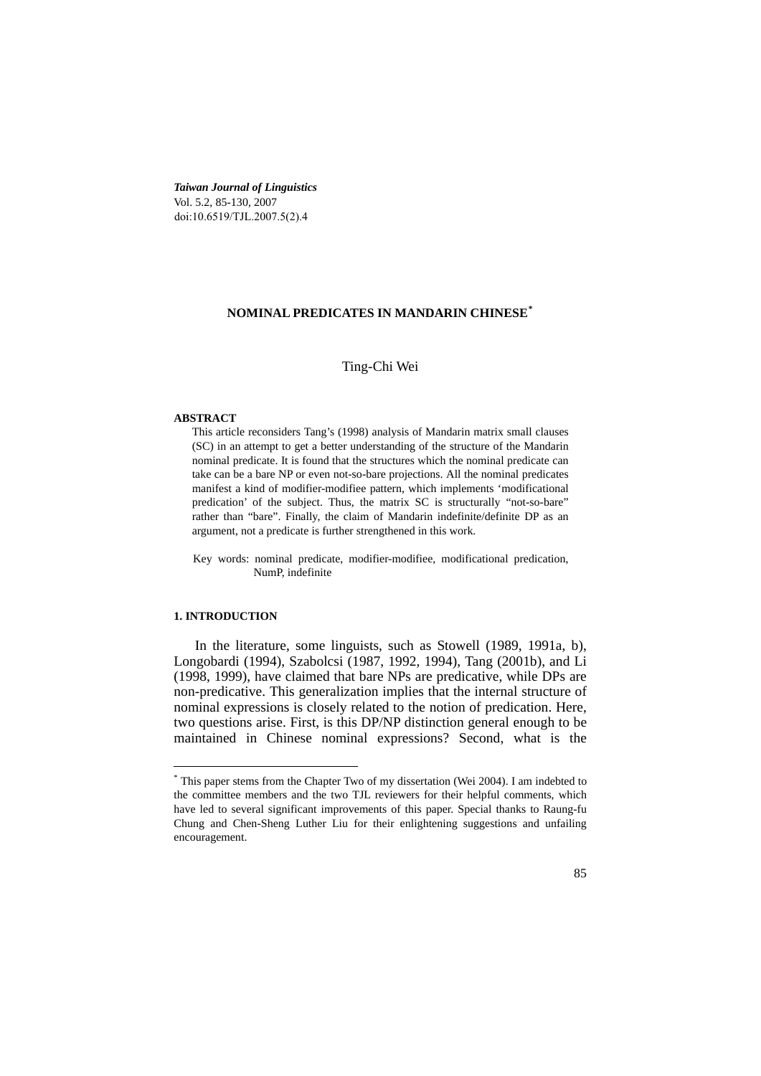*Taiwan Journal of Linguistics*  Vol. 5.2, 85-130, 2007 doi:10.6519/TJL.2007.5(2).4

# **NOMINAL PREDICATES IN MANDARIN CHINESE[\\*](#page-0-0)**

### Ting-Chi Wei

### **ABSTRACT**

This article reconsiders Tang's (1998) analysis of Mandarin matrix small clauses (SC) in an attempt to get a better understanding of the structure of the Mandarin nominal predicate. It is found that the structures which the nominal predicate can take can be a bare NP or even not-so-bare projections. All the nominal predicates manifest a kind of modifier-modifiee pattern, which implements 'modificational predication' of the subject. Thus, the matrix SC is structurally "not-so-bare" rather than "bare". Finally, the claim of Mandarin indefinite/definite DP as an argument, not a predicate is further strengthened in this work.

Key words: nominal predicate, modifier-modifiee, modificational predication, NumP, indefinite

#### **1. INTRODUCTION**

 In the literature, some linguists, such as Stowell (1989, 1991a, b), Longobardi (1994), Szabolcsi (1987, 1992, 1994), Tang (2001b), and Li (1998, 1999), have claimed that bare NPs are predicative, while DPs are non-predicative. This generalization implies that the internal structure of nominal expressions is closely related to the notion of predication. Here, two questions arise. First, is this DP/NP distinction general enough to be maintained in Chinese nominal expressions? Second, what is the

<span id="page-0-0"></span> \* This paper stems from the Chapter Two of my dissertation (Wei 2004). I am indebted to the committee members and the two TJL reviewers for their helpful comments, which have led to several significant improvements of this paper. Special thanks to Raung-fu Chung and Chen-Sheng Luther Liu for their enlightening suggestions and unfailing encouragement.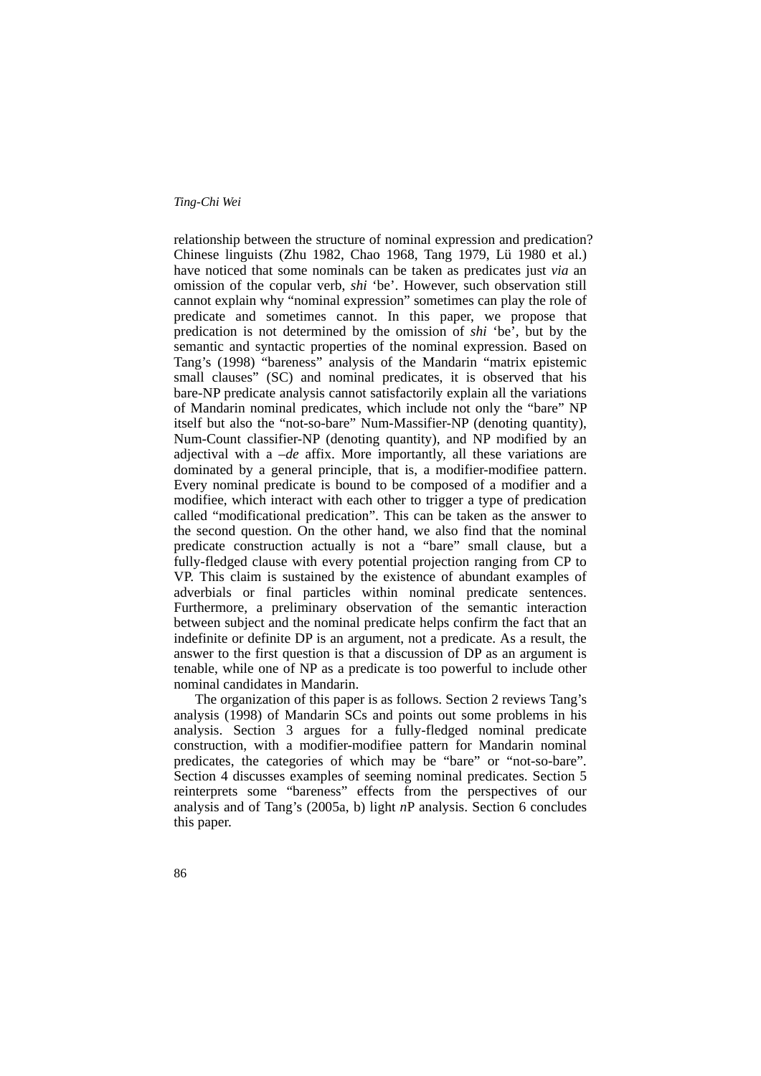relationship between the structure of nominal expression and predication? Chinese linguists (Zhu 1982, Chao 1968, Tang 1979, Lü 1980 et al.) have noticed that some nominals can be taken as predicates just *via* an omission of the copular verb, *shi* 'be'. However, such observation still cannot explain why "nominal expression" sometimes can play the role of predicate and sometimes cannot. In this paper, we propose that predication is not determined by the omission of *shi* 'be', but by the semantic and syntactic properties of the nominal expression. Based on Tang's (1998) "bareness" analysis of the Mandarin "matrix epistemic small clauses" (SC) and nominal predicates, it is observed that his bare-NP predicate analysis cannot satisfactorily explain all the variations of Mandarin nominal predicates, which include not only the "bare" NP itself but also the "not-so-bare" Num-Massifier-NP (denoting quantity), Num-Count classifier-NP (denoting quantity), and NP modified by an adjectival with a *–de* affix. More importantly, all these variations are dominated by a general principle, that is, a modifier-modifiee pattern. Every nominal predicate is bound to be composed of a modifier and a modifiee, which interact with each other to trigger a type of predication called "modificational predication". This can be taken as the answer to the second question. On the other hand, we also find that the nominal predicate construction actually is not a "bare" small clause, but a fully-fledged clause with every potential projection ranging from CP to VP. This claim is sustained by the existence of abundant examples of adverbials or final particles within nominal predicate sentences. Furthermore, a preliminary observation of the semantic interaction between subject and the nominal predicate helps confirm the fact that an indefinite or definite DP is an argument, not a predicate. As a result, the answer to the first question is that a discussion of DP as an argument is tenable, while one of NP as a predicate is too powerful to include other nominal candidates in Mandarin.

 The organization of this paper is as follows. Section 2 reviews Tang's analysis (1998) of Mandarin SCs and points out some problems in his analysis. Section 3 argues for a fully-fledged nominal predicate construction, with a modifier-modifiee pattern for Mandarin nominal predicates, the categories of which may be "bare" or "not-so-bare". Section 4 discusses examples of seeming nominal predicates. Section 5 reinterprets some "bareness" effects from the perspectives of our analysis and of Tang's (2005a, b) light *n*P analysis. Section 6 concludes this paper.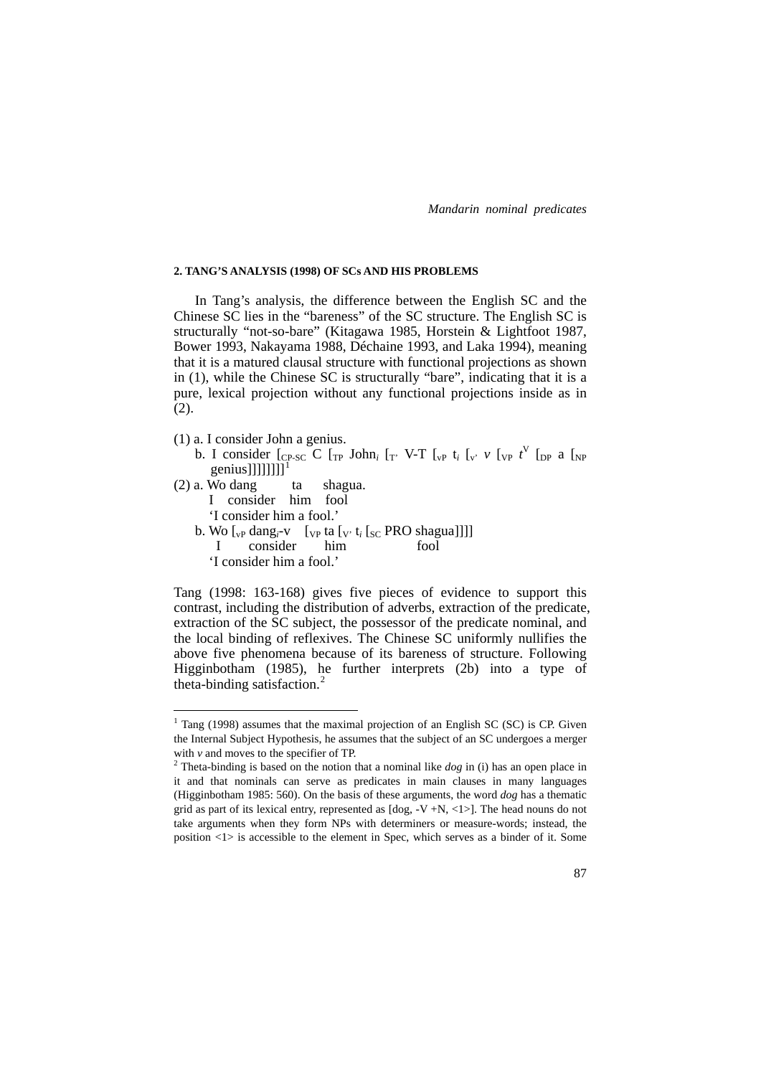#### **2. TANG'S ANALYSIS (1998) OF SCs AND HIS PROBLEMS**

 In Tang's analysis, the difference between the English SC and the Chinese SC lies in the "bareness" of the SC structure. The English SC is structurally "not-so-bare" (Kitagawa 1985, Horstein & Lightfoot 1987, Bower 1993, Nakayama 1988, Déchaine 1993, and Laka 1994), meaning that it is a matured clausal structure with functional projections as shown in (1), while the Chinese SC is structurally "bare", indicating that it is a pure, lexical projection without any functional projections inside as in (2).

(1) a. I consider John a genius.

1

- b. I consider  $\begin{bmatrix} C_{P-SC} & C \end{bmatrix}$  [TP John<sub>i</sub>  $\begin{bmatrix} T' & V-T \end{bmatrix}$   $\begin{bmatrix} V_P & t_i \end{bmatrix}$   $\begin{bmatrix} V' & V \end{bmatrix}$   $\begin{bmatrix} V_P & t_i \end{bmatrix}$   $\begin{bmatrix} V_P & t_i \end{bmatrix}$   $\begin{bmatrix} V_P & t_i \end{bmatrix}$ genius]]]]]]]]]
- $(2)$  a. Wo dang ta shagua. I consider him fool 'I consider him a fool.' b. Wo  $\left[\begin{bmatrix} v_P \text{ dang}_i-v \end{bmatrix} \right]$  [v<sub>P</sub> ta  $\left[v, t_i\right]$  [sc PRO shagua]]]] I consider him fool 'I consider him a fool.'

Tang (1998: 163-168) gives five pieces of evidence to support this contrast, including the distribution of adverbs, extraction of the predicate, extraction of the SC subject, the possessor of the predicate nominal, and the local binding of reflexives. The Chinese SC uniformly nullifies the above five phenomena because of its bareness of structure. Following Higginbotham (1985), he further interprets (2b) into a type of theta-binding satisfaction.<sup>[2](#page-2-1)</sup>

<span id="page-2-0"></span> $1$  Tang (1998) assumes that the maximal projection of an English SC (SC) is CP. Given the Internal Subject Hypothesis, he assumes that the subject of an SC undergoes a merger with  $\nu$  and moves to the specifier of TP.

<span id="page-2-1"></span> $2$  Theta-binding is based on the notion that a nominal like *dog* in (i) has an open place in it and that nominals can serve as predicates in main clauses in many languages (Higginbotham 1985: 560). On the basis of these arguments, the word *dog* has a thematic grid as part of its lexical entry, represented as [dog, -V +N, <1>]. The head nouns do not take arguments when they form NPs with determiners or measure-words; instead, the position <1> is accessible to the element in Spec, which serves as a binder of it. Some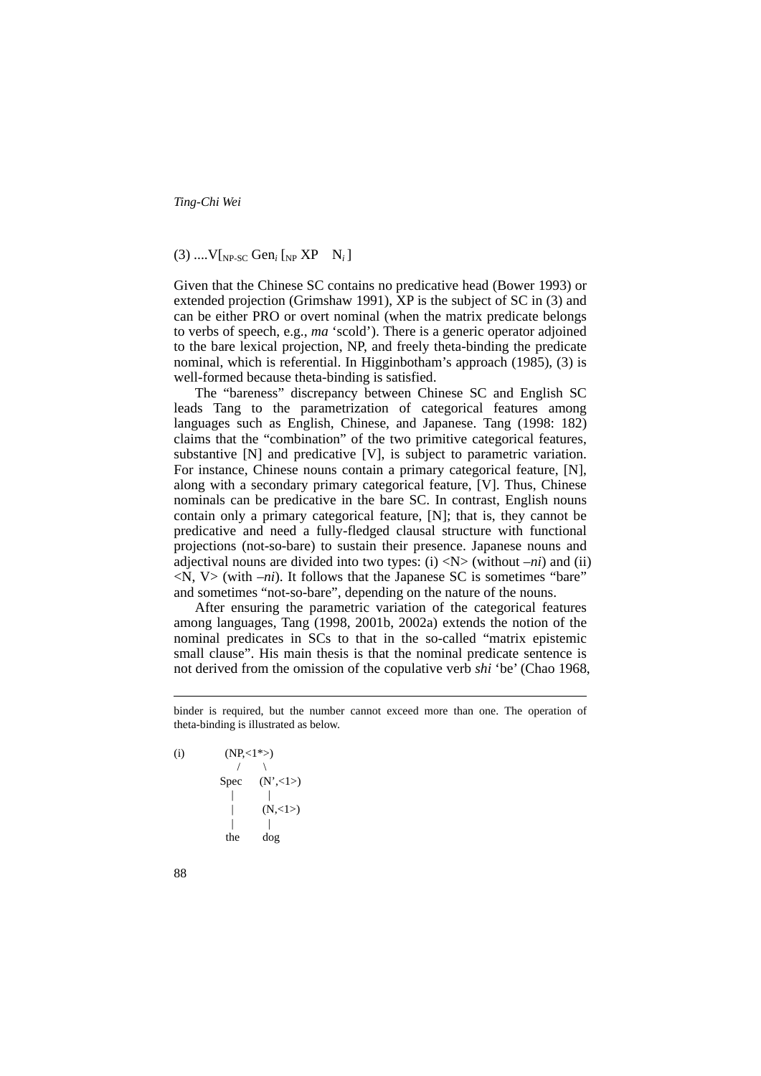# $(3)$  ....  $V$ [<sub>NP-SC</sub> Gen<sub>*i*</sub> [<sub>NP</sub> XP N<sub>*i*</sub>]</sub>

Given that the Chinese SC contains no predicative head (Bower 1993) or extended projection (Grimshaw 1991), XP is the subject of SC in (3) and can be either PRO or overt nominal (when the matrix predicate belongs to verbs of speech, e.g., *ma* 'scold'). There is a generic operator adjoined to the bare lexical projection, NP, and freely theta-binding the predicate nominal, which is referential. In Higginbotham's approach (1985), (3) is well-formed because theta-binding is satisfied.

 The "bareness" discrepancy between Chinese SC and English SC leads Tang to the parametrization of categorical features among languages such as English, Chinese, and Japanese. Tang (1998: 182) claims that the "combination" of the two primitive categorical features, substantive [N] and predicative [V], is subject to parametric variation. For instance, Chinese nouns contain a primary categorical feature, [N], along with a secondary primary categorical feature, [V]. Thus, Chinese nominals can be predicative in the bare SC. In contrast, English nouns contain only a primary categorical feature, [N]; that is, they cannot be predicative and need a fully-fledged clausal structure with functional projections (not-so-bare) to sustain their presence. Japanese nouns and adjectival nouns are divided into two types: (i)  $\langle N \rangle$  (without *–ni*) and (ii)  $\langle N, V \rangle$  (with  $-ni$ ). It follows that the Japanese SC is sometimes "bare" and sometimes "not-so-bare", depending on the nature of the nouns.

 After ensuring the parametric variation of the categorical features among languages, Tang (1998, 2001b, 2002a) extends the notion of the nominal predicates in SCs to that in the so-called "matrix epistemic small clause". His main thesis is that the nominal predicate sentence is not derived from the omission of the copulative verb *shi* 'be' (Chao 1968,

(i)  $(NP,<1^*)$  $\sqrt{2}$ Spec  $(N',<1>)$  $|$  $(N,<1>)$  | | the dog

<u>.</u>

binder is required, but the number cannot exceed more than one. The operation of theta-binding is illustrated as below.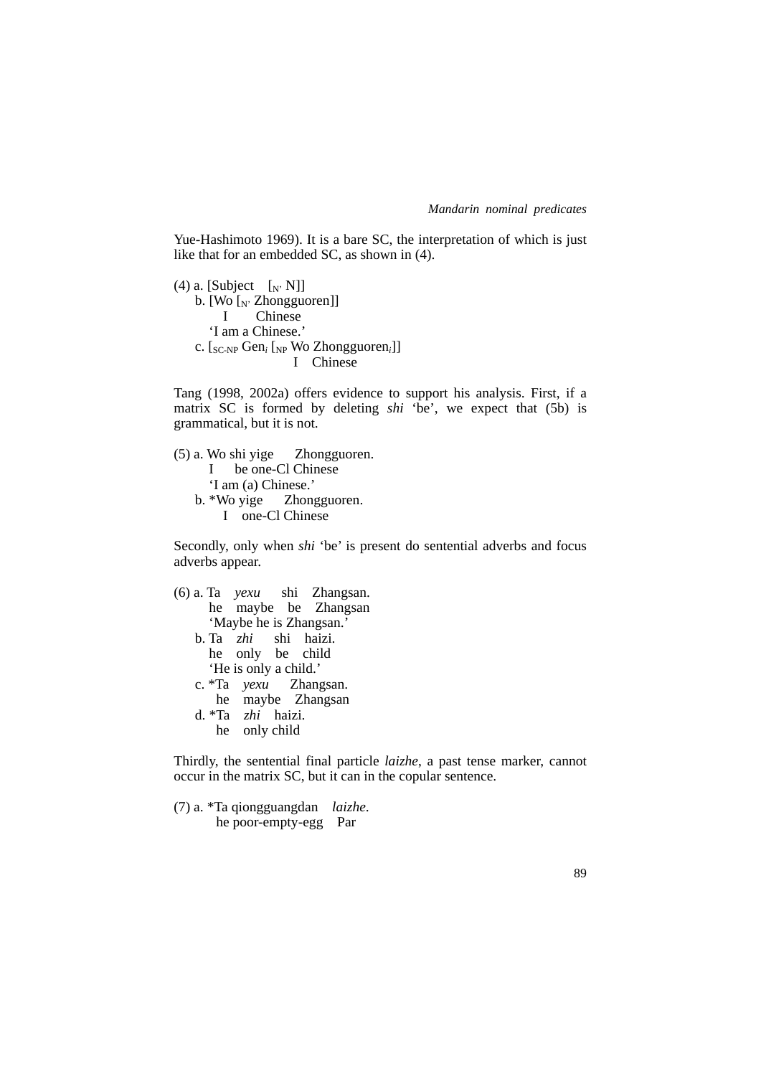Yue-Hashimoto 1969). It is a bare SC, the interpretation of which is just like that for an embedded SC, as shown in (4).

(4) a. [Subject  $[N^N]$ ] b.  $[Wo]_N$  Zhongguoren]]<br>I Chinese Chinese 'I am a Chinese.' c. [SC-NP Gen*<sup>i</sup>* [NP Wo Zhongguoren*i*]] I Chinese

Tang (1998, 2002a) offers evidence to support his analysis. First, if a matrix SC is formed by deleting *shi* 'be', we expect that (5b) is grammatical, but it is not.

(5) a. Wo shi yige Zhongguoren. I be one-Cl Chinese 'I am (a) Chinese.' b. \*Wo yige Zhongguoren. I one-Cl Chinese

Secondly, only when *shi* 'be' is present do sentential adverbs and focus adverbs appear.

(6) a. Ta *yexu* shi Zhangsan. he maybe be Zhangsan 'Maybe he is Zhangsan.<sup>7</sup><br>Ta *zhi* shi haizi. b. Ta zhi he only be child 'He is only a child.' c. \*Ta *yexu* Zhangsan. he maybe Zhangsan d. \*Ta *zhi* haizi. he only child

Thirdly, the sentential final particle *laizhe*, a past tense marker, cannot occur in the matrix SC, but it can in the copular sentence.

(7) a. \*Ta qiongguangdan *laizhe*. he poor-empty-egg Par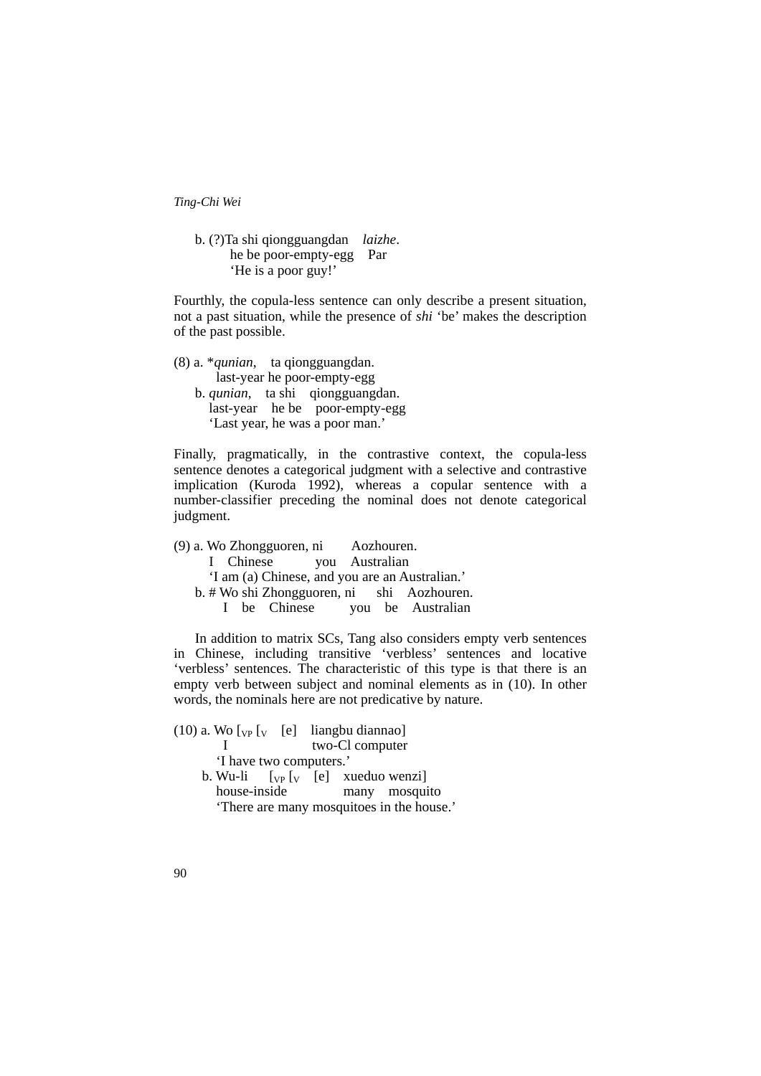b. (?)Ta shi qiongguangdan *laizhe*. he be poor-empty-egg Par 'He is a poor guy!'

Fourthly, the copula-less sentence can only describe a present situation, not a past situation, while the presence of *shi* 'be' makes the description of the past possible.

(8) a. \**qunian*, ta qiongguangdan. last-year he poor-empty-egg b. *qunian*, ta shi qiongguangdan. last-year he be poor-empty-egg 'Last year, he was a poor man.'

Finally, pragmatically, in the contrastive context, the copula-less sentence denotes a categorical judgment with a selective and contrastive implication (Kuroda 1992), whereas a copular sentence with a number-classifier preceding the nominal does not denote categorical judgment.

(9) a. Wo Zhongguoren, ni Aozhouren. I Chinese you Australian 'I am (a) Chinese, and you are an Australian.' b. # Wo shi Zhongguoren, ni shi Aozhouren. I be Chinese you be Australian

 In addition to matrix SCs, Tang also considers empty verb sentences in Chinese, including transitive 'verbless' sentences and locative 'verbless' sentences. The characteristic of this type is that there is an empty verb between subject and nominal elements as in (10). In other words, the nominals here are not predicative by nature.

(10) a. Wo  $\begin{bmatrix} v_P \end{bmatrix}$  [e] liangbu diannao] I two-Cl computer 'I have two computers.' b. Wu-li  $[\text{vp}[\text{v}][\text{e}]$  xueduo wenzi house-inside many mosquito 'There are many mosquitoes in the house.'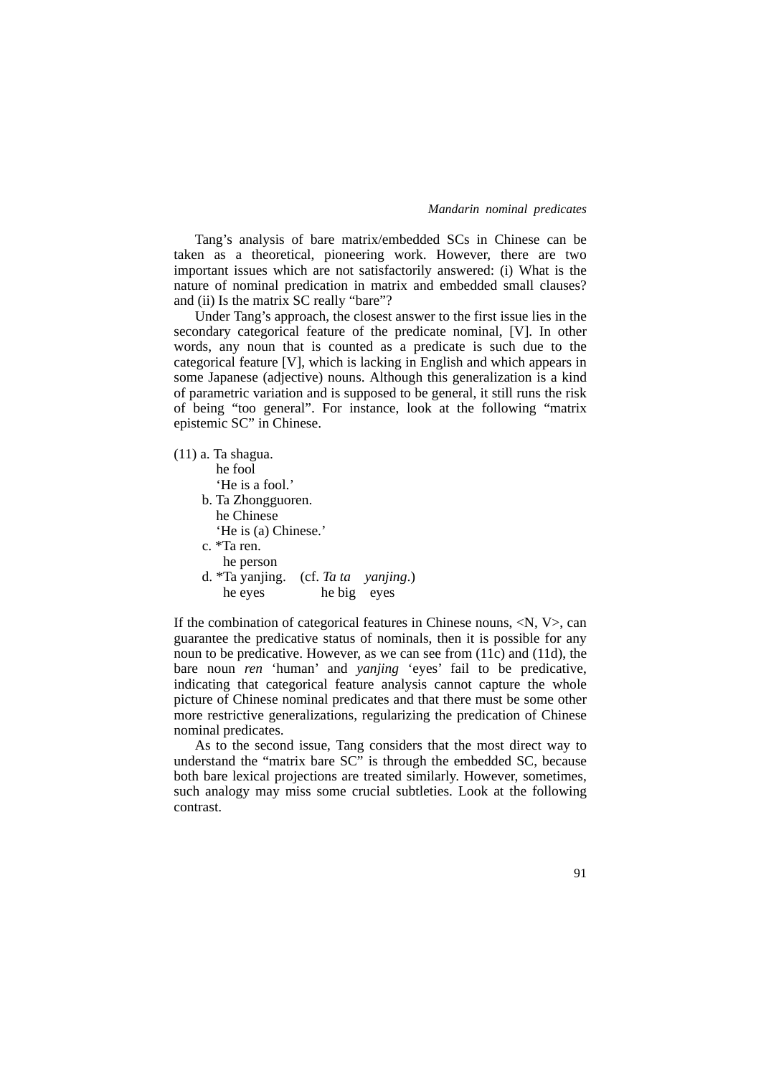Tang's analysis of bare matrix/embedded SCs in Chinese can be taken as a theoretical, pioneering work. However, there are two important issues which are not satisfactorily answered: (i) What is the nature of nominal predication in matrix and embedded small clauses? and (ii) Is the matrix SC really "bare"?

 Under Tang's approach, the closest answer to the first issue lies in the secondary categorical feature of the predicate nominal, [V]. In other words, any noun that is counted as a predicate is such due to the categorical feature [V], which is lacking in English and which appears in some Japanese (adjective) nouns. Although this generalization is a kind of parametric variation and is supposed to be general, it still runs the risk of being "too general". For instance, look at the following "matrix epistemic SC" in Chinese.

(11) a. Ta shagua. he fool 'He is a fool.' b. Ta Zhongguoren. he Chinese 'He is (a) Chinese.' c. \*Ta ren. he person d. \*Ta yanjing. (cf. *Ta ta yanjing*.) he eyes he big eyes

If the combination of categorical features in Chinese nouns,  $\langle N, V \rangle$ , can guarantee the predicative status of nominals, then it is possible for any noun to be predicative. However, as we can see from (11c) and (11d), the bare noun *ren* 'human' and *yanjing* 'eyes' fail to be predicative, indicating that categorical feature analysis cannot capture the whole picture of Chinese nominal predicates and that there must be some other more restrictive generalizations, regularizing the predication of Chinese nominal predicates.

 As to the second issue, Tang considers that the most direct way to understand the "matrix bare SC" is through the embedded SC, because both bare lexical projections are treated similarly. However, sometimes, such analogy may miss some crucial subtleties. Look at the following contrast.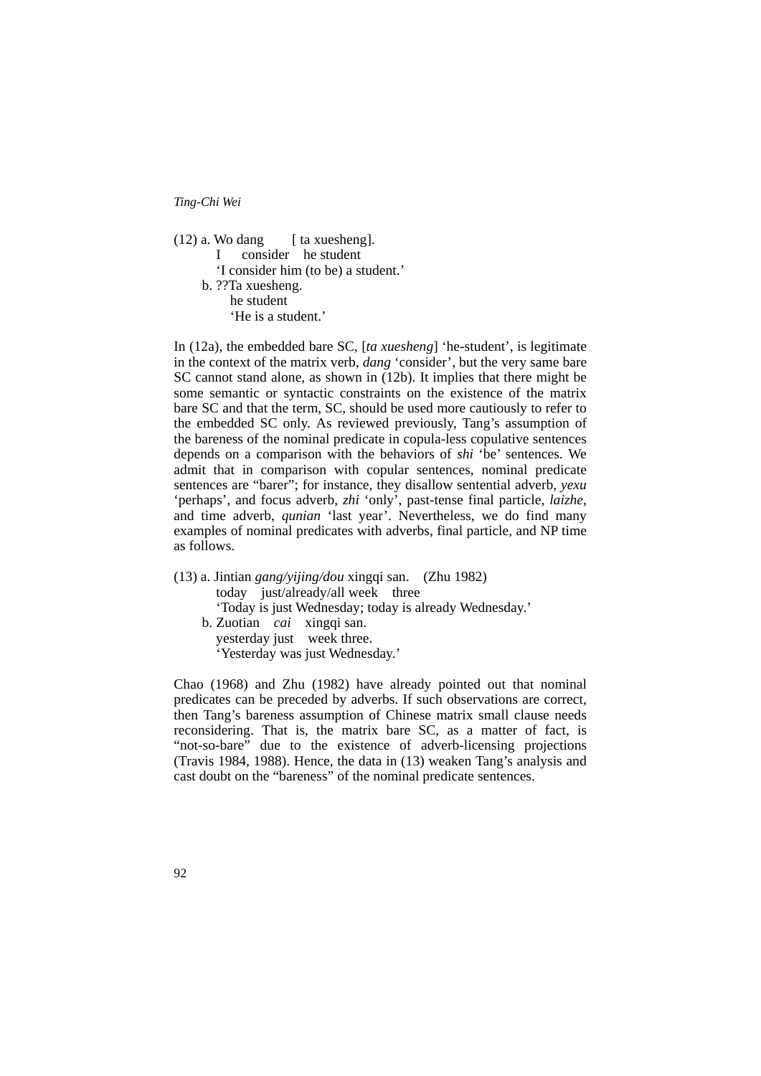| 'I consider him (to be) a student.' |
|-------------------------------------|
|                                     |
|                                     |
|                                     |
|                                     |

In (12a), the embedded bare SC, [*ta xuesheng*] 'he-student', is legitimate in the context of the matrix verb, *dang* 'consider', but the very same bare SC cannot stand alone, as shown in (12b). It implies that there might be some semantic or syntactic constraints on the existence of the matrix bare SC and that the term, SC, should be used more cautiously to refer to the embedded SC only. As reviewed previously, Tang's assumption of the bareness of the nominal predicate in copula-less copulative sentences depends on a comparison with the behaviors of *shi* 'be' sentences. We admit that in comparison with copular sentences, nominal predicate sentences are "barer"; for instance, they disallow sentential adverb, *yexu* 'perhaps', and focus adverb, *zhi* 'only', past-tense final particle, *laizhe*, and time adverb, *qunian* 'last year'. Nevertheless, we do find many examples of nominal predicates with adverbs, final particle, and NP time as follows.

(13) a. Jintian *gang/yijing/dou* xingqi san. (Zhu 1982) today just/already/all week three 'Today is just Wednesday; today is already Wednesday.' b. Zuotian *cai* xingqi san. yesterday just week three. 'Yesterday was just Wednesday.'

Chao (1968) and Zhu (1982) have already pointed out that nominal predicates can be preceded by adverbs. If such observations are correct, then Tang's bareness assumption of Chinese matrix small clause needs reconsidering. That is, the matrix bare SC, as a matter of fact, is "not-so-bare" due to the existence of adverb-licensing projections (Travis 1984, 1988). Hence, the data in (13) weaken Tang's analysis and cast doubt on the "bareness" of the nominal predicate sentences.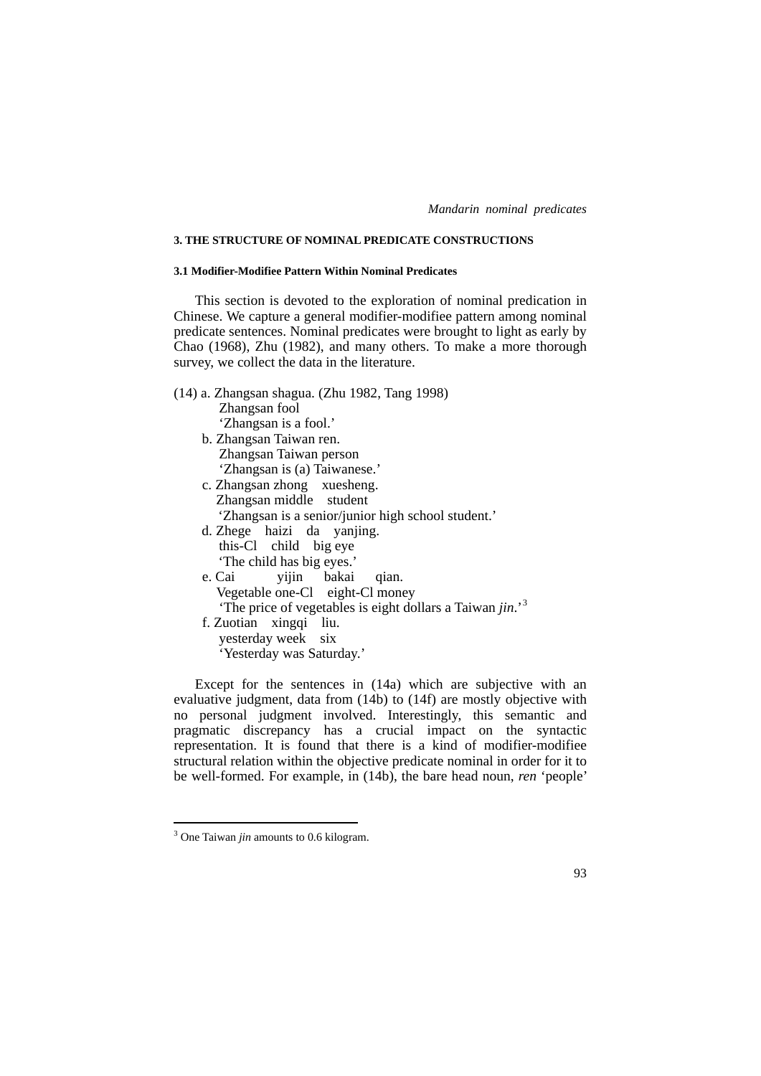### **3. THE STRUCTURE OF NOMINAL PREDICATE CONSTRUCTIONS**

### **3.1 Modifier-Modifiee Pattern Within Nominal Predicates**

 This section is devoted to the exploration of nominal predication in Chinese. We capture a general modifier-modifiee pattern among nominal predicate sentences. Nominal predicates were brought to light as early by Chao (1968), Zhu (1982), and many others. To make a more thorough survey, we collect the data in the literature.

| (14) a. Zhangsan shagua. (Zhu 1982, Tang 1998)                        |
|-----------------------------------------------------------------------|
| Zhangsan fool                                                         |
| 'Zhangsan is a fool.'                                                 |
| b. Zhangsan Taiwan ren.                                               |
| Zhangsan Taiwan person                                                |
| 'Zhangsan is (a) Taiwanese.'                                          |
| c. Zhangsan zhong xuesheng.                                           |
| Zhangsan middle student                                               |
| 'Zhangsan is a senior/junior high school student.'                    |
| d. Zhege haizi da yanjing.                                            |
| this-Cl child big eye                                                 |
| 'The child has big eyes.'                                             |
| yijin bakai qian.<br>e. Cai                                           |
| Vegetable one-Cl eight-Cl money                                       |
| 'The price of vegetables is eight dollars a Taiwan jin.' <sup>3</sup> |
| f. Zuotian xingqi liu.                                                |
| yesterday week six                                                    |
| 'Yesterday was Saturday.'                                             |
|                                                                       |

 Except for the sentences in (14a) which are subjective with an evaluative judgment, data from (14b) to (14f) are mostly objective with no personal judgment involved. Interestingly, this semantic and pragmatic discrepancy has a crucial impact on the syntactic representation. It is found that there is a kind of modifier-modifiee structural relation within the objective predicate nominal in order for it to be well-formed. For example, in (14b), the bare head noun, *ren* 'people'

<span id="page-8-0"></span> 3 One Taiwan *jin* amounts to 0.6 kilogram.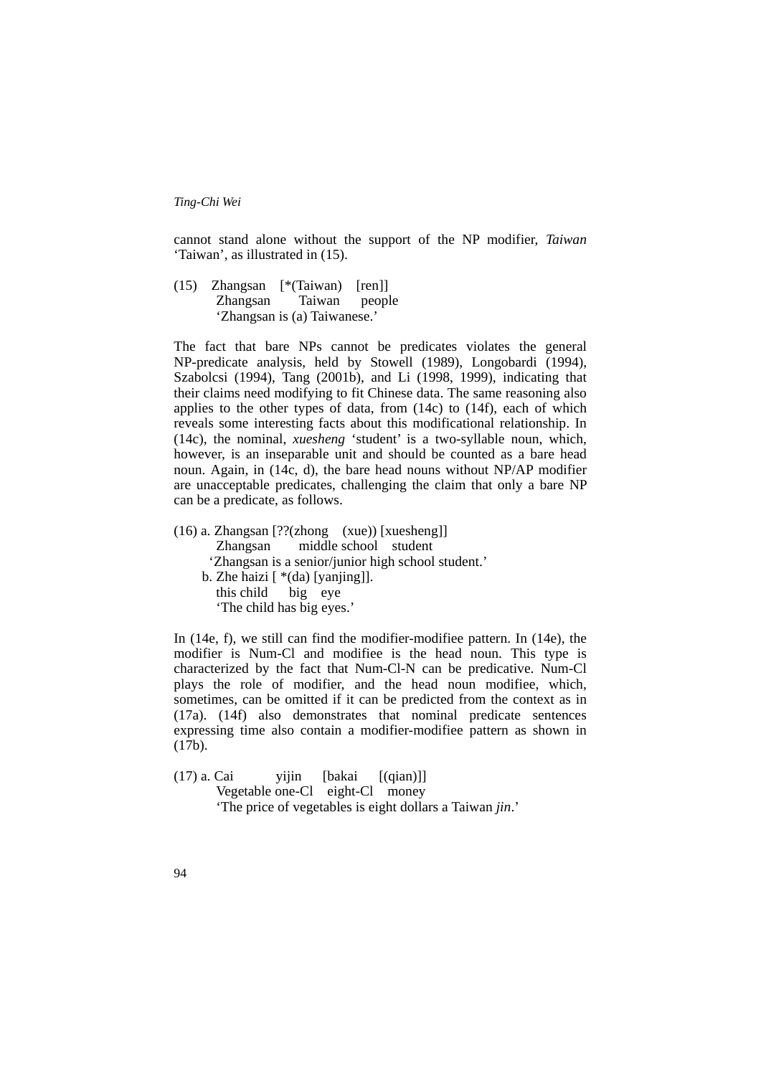cannot stand alone without the support of the NP modifier, *Taiwan* 'Taiwan', as illustrated in (15).

(15) Zhangsan [\*(Taiwan) [ren]] Zhangsan Taiwan people 'Zhangsan is (a) Taiwanese.'

The fact that bare NPs cannot be predicates violates the general NP-predicate analysis, held by Stowell (1989), Longobardi (1994), Szabolcsi (1994), Tang (2001b), and Li (1998, 1999), indicating that their claims need modifying to fit Chinese data. The same reasoning also applies to the other types of data, from (14c) to (14f), each of which reveals some interesting facts about this modificational relationship. In (14c), the nominal, *xuesheng* 'student' is a two-syllable noun, which, however, is an inseparable unit and should be counted as a bare head noun. Again, in (14c, d), the bare head nouns without NP/AP modifier are unacceptable predicates, challenging the claim that only a bare NP can be a predicate, as follows.

(16) a. Zhangsan [??(zhong (xue)) [xuesheng]] Zhangsan middle school student 'Zhangsan is a senior/junior high school student.' b. Zhe haizi  $\lceil * (da)$  [yanjing]]. this child big eye 'The child has big eyes.'

In (14e, f), we still can find the modifier-modifiee pattern. In (14e), the modifier is Num-Cl and modifiee is the head noun. This type is characterized by the fact that Num-Cl-N can be predicative. Num-Cl plays the role of modifier, and the head noun modifiee, which, sometimes, can be omitted if it can be predicted from the context as in (17a). (14f) also demonstrates that nominal predicate sentences expressing time also contain a modifier-modifiee pattern as shown in (17b).

 $(17)$  a. Cai vijin [bakai  $[(qian)]$ ] Vegetable one-Cl eight-Cl money 'The price of vegetables is eight dollars a Taiwan *jin*.'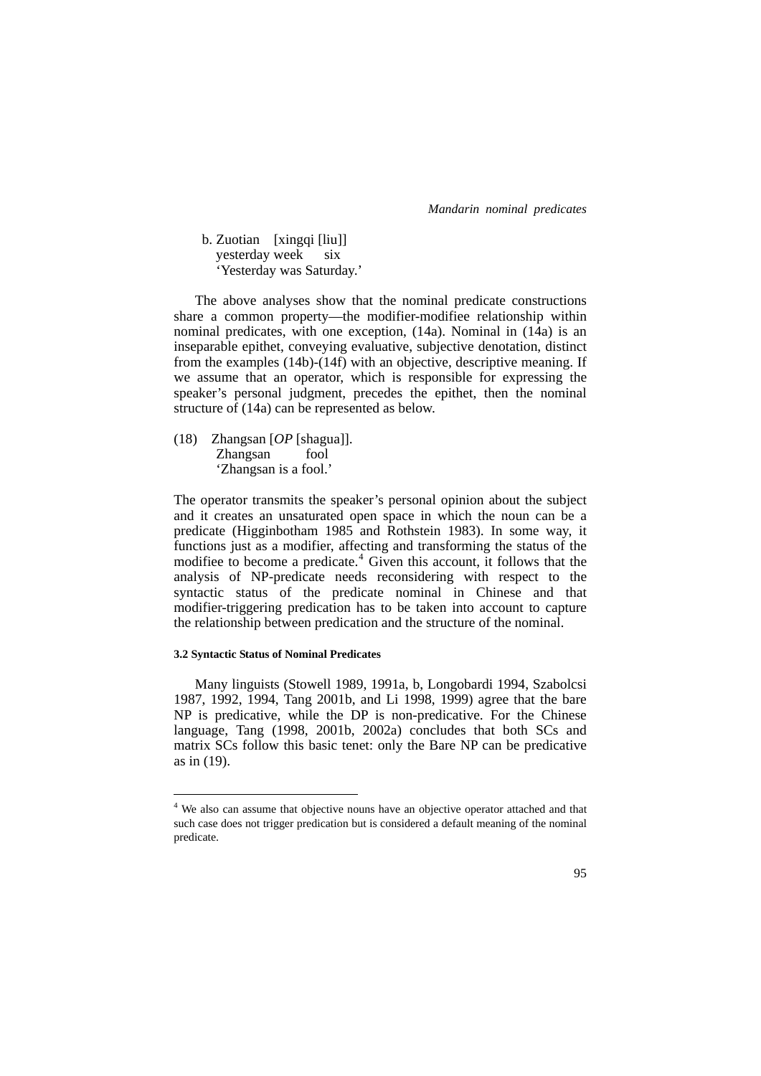b. Zuotian [xingqi [liu]] yesterday week six 'Yesterday was Saturday.'

 The above analyses show that the nominal predicate constructions share a common property—the modifier-modifiee relationship within nominal predicates, with one exception, (14a). Nominal in (14a) is an inseparable epithet, conveying evaluative, subjective denotation, distinct from the examples (14b)-(14f) with an objective, descriptive meaning. If we assume that an operator, which is responsible for expressing the speaker's personal judgment, precedes the epithet, then the nominal structure of (14a) can be represented as below.

(18) Zhangsan [*OP* [shagua]]. Zhangsan fool 'Zhangsan is a fool.'

The operator transmits the speaker's personal opinion about the subject and it creates an unsaturated open space in which the noun can be a predicate (Higginbotham 1985 and Rothstein 1983). In some way, it functions just as a modifier, affecting and transforming the status of the modifiee to become a predicate.<sup>[4](#page-10-0)</sup> Given this account, it follows that the analysis of NP-predicate needs reconsidering with respect to the syntactic status of the predicate nominal in Chinese and that modifier-triggering predication has to be taken into account to capture the relationship between predication and the structure of the nominal.

#### **3.2 Syntactic Status of Nominal Predicates**

1

 Many linguists (Stowell 1989, 1991a, b, Longobardi 1994, Szabolcsi 1987, 1992, 1994, Tang 2001b, and Li 1998, 1999) agree that the bare NP is predicative, while the DP is non-predicative. For the Chinese language, Tang (1998, 2001b, 2002a) concludes that both SCs and matrix SCs follow this basic tenet: only the Bare NP can be predicative as in (19).

<span id="page-10-0"></span><sup>&</sup>lt;sup>4</sup> We also can assume that objective nouns have an objective operator attached and that such case does not trigger predication but is considered a default meaning of the nominal predicate.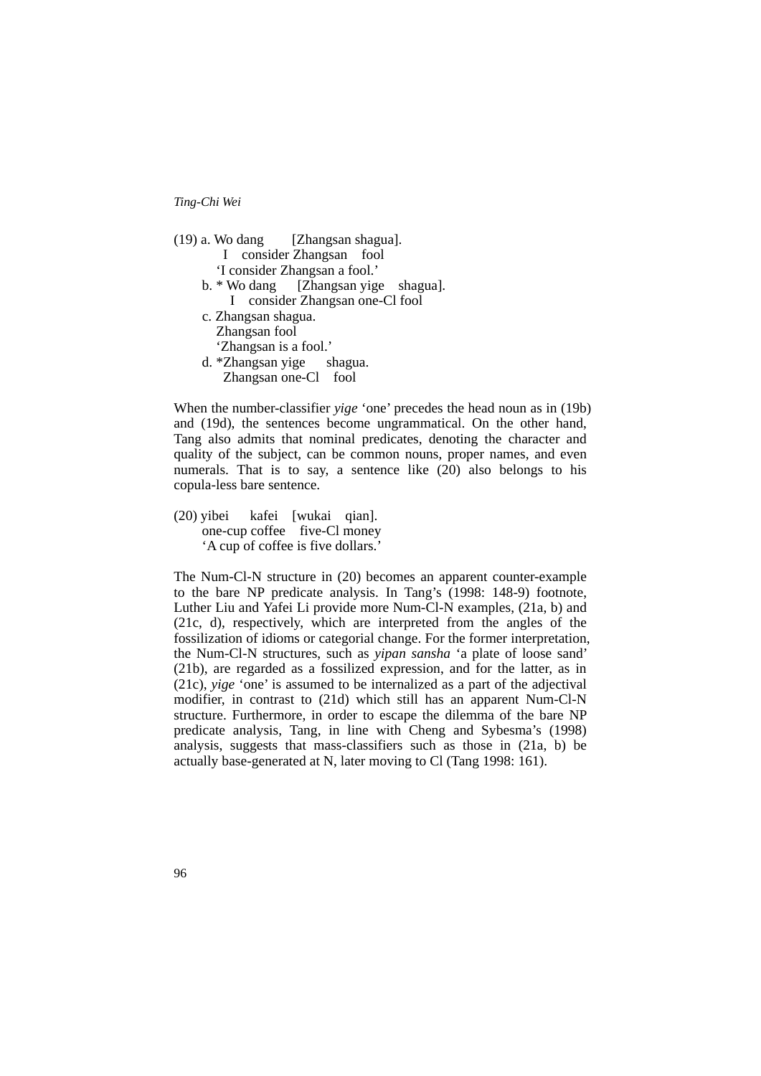| (19) a. Wo dang [Zhangsan shagua].   |
|--------------------------------------|
| consider Zhangsan fool               |
| 'I consider Zhangsan a fool.'        |
| b. * Wo dang [Zhangsan yige shagua]. |
| I consider Zhangsan one-Cl fool      |
| c. Zhangsan shagua.                  |
| Zhangsan fool                        |
| 'Zhangsan is a fool.'                |
| d. *Zhangsan yige shagua.            |
| Zhangsan one-Cl fool                 |
|                                      |

When the number-classifier *yige* 'one' precedes the head noun as in (19b) and (19d), the sentences become ungrammatical. On the other hand, Tang also admits that nominal predicates, denoting the character and quality of the subject, can be common nouns, proper names, and even numerals. That is to say, a sentence like (20) also belongs to his copula-less bare sentence.

(20) yibei kafei [wukai qian]. one-cup coffee five-Cl money 'A cup of coffee is five dollars.'

The Num-Cl-N structure in (20) becomes an apparent counter-example to the bare NP predicate analysis. In Tang's (1998: 148-9) footnote, Luther Liu and Yafei Li provide more Num-Cl-N examples, (21a, b) and (21c, d), respectively, which are interpreted from the angles of the fossilization of idioms or categorial change. For the former interpretation, the Num-Cl-N structures, such as *yipan sansha* 'a plate of loose sand' (21b), are regarded as a fossilized expression, and for the latter, as in (21c), *yige* 'one' is assumed to be internalized as a part of the adjectival modifier, in contrast to (21d) which still has an apparent Num-Cl-N structure. Furthermore, in order to escape the dilemma of the bare NP predicate analysis, Tang, in line with Cheng and Sybesma's (1998) analysis, suggests that mass-classifiers such as those in (21a, b) be actually base-generated at N, later moving to Cl (Tang 1998: 161).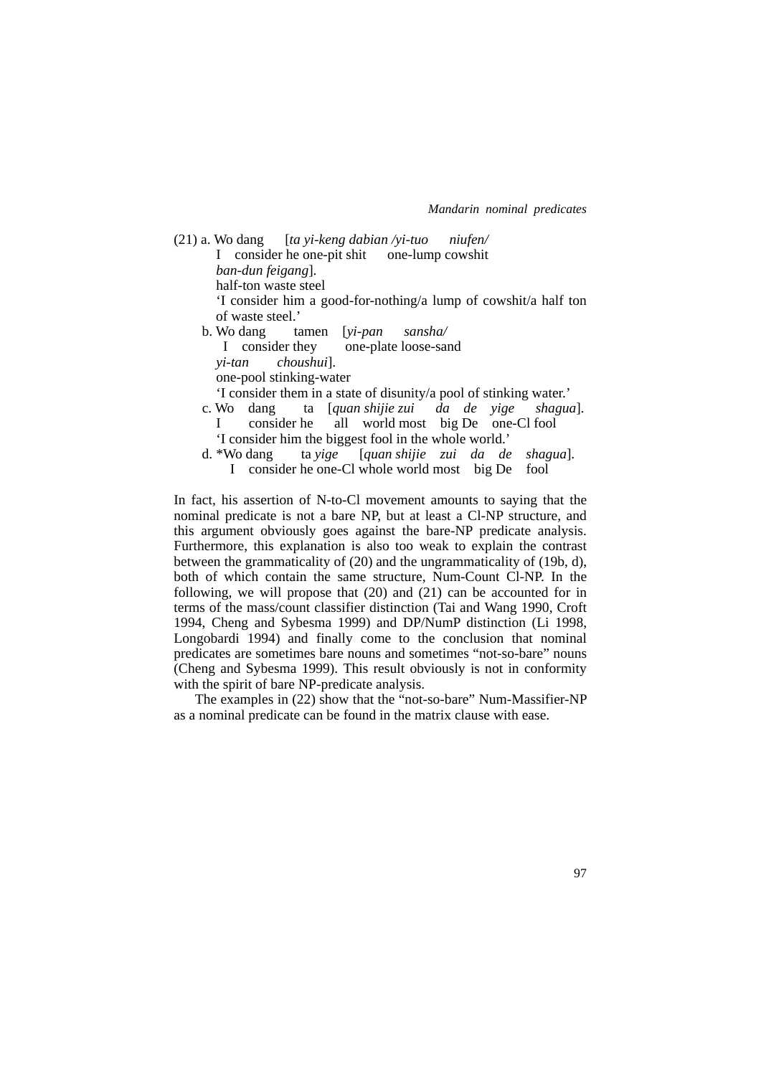$(21)$  a. Wo dang [*ta yi-keng dabian /yi-tuo niufen/*  I consider he one-pit shit one-lump cowshit *ban-dun feigang*]. half-ton waste steel 'I consider him a good-for-nothing/a lump of cowshit/a half ton of waste steel.' b. Wo dang tamen [*yi-pan sansha/* I consider they one-plate loose-sand *yi-tan choushui*]. one-pool stinking-water 'I consider them in a state of disunity/a pool of stinking water.' c. Wo dang ta [*quan shijie zui da de yige shagua*]. I consider he all world most big De one-Cl fool 'I consider him the biggest fool in the whole world.' d. \*Wo dang ta *yige* [*quan shijie zui da de shagua*]. I consider he one-Cl whole world most big De fool

In fact, his assertion of N-to-Cl movement amounts to saying that the nominal predicate is not a bare NP, but at least a Cl-NP structure, and this argument obviously goes against the bare-NP predicate analysis. Furthermore, this explanation is also too weak to explain the contrast between the grammaticality of (20) and the ungrammaticality of (19b, d), both of which contain the same structure, Num-Count Cl-NP. In the following, we will propose that (20) and (21) can be accounted for in terms of the mass/count classifier distinction (Tai and Wang 1990, Croft 1994, Cheng and Sybesma 1999) and DP/NumP distinction (Li 1998, Longobardi 1994) and finally come to the conclusion that nominal predicates are sometimes bare nouns and sometimes "not-so-bare" nouns (Cheng and Sybesma 1999). This result obviously is not in conformity with the spirit of bare NP-predicate analysis.

 The examples in (22) show that the "not-so-bare" Num-Massifier-NP as a nominal predicate can be found in the matrix clause with ease.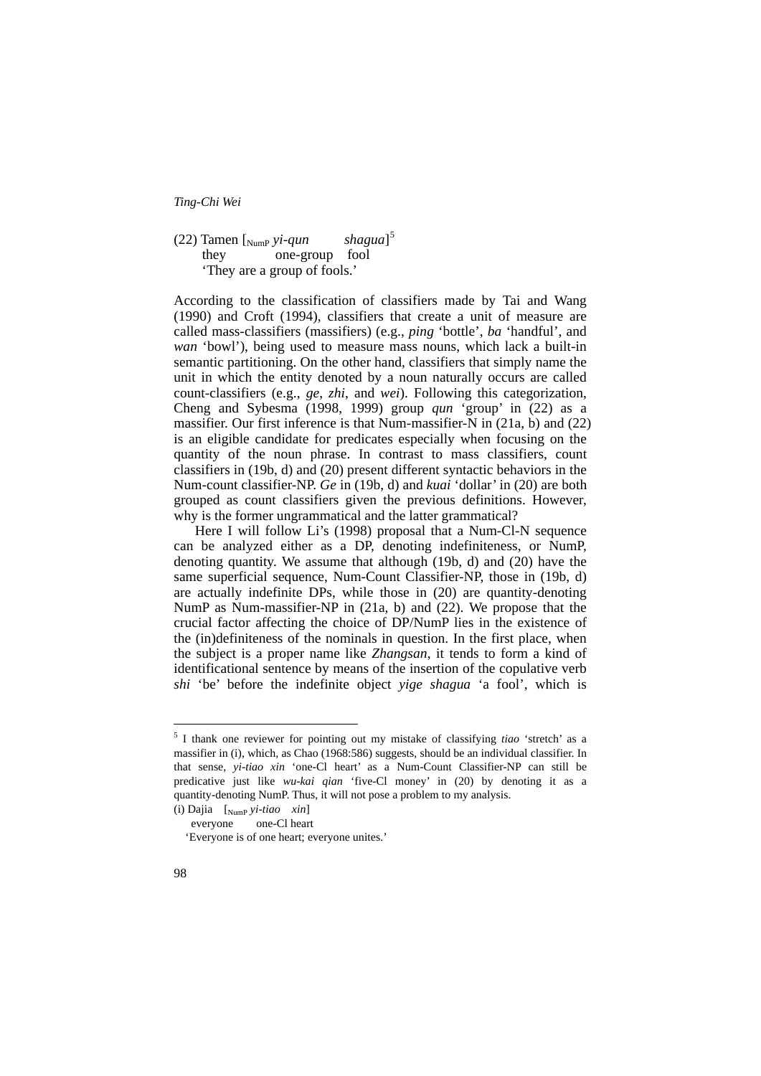#### $(22)$  Tamen [ $_{\text{NumP}}$   $yi$ *-qun*  $shagua$ <sup>[5](#page-13-0)</sup> they one-group fool 'They are a group of fools.'

According to the classification of classifiers made by Tai and Wang (1990) and Croft (1994), classifiers that create a unit of measure are called mass-classifiers (massifiers) (e.g., *ping* 'bottle', *ba* 'handful', and *wan* 'bowl'), being used to measure mass nouns, which lack a built-in semantic partitioning. On the other hand, classifiers that simply name the unit in which the entity denoted by a noun naturally occurs are called count-classifiers (e.g., *ge*, *zhi*, and *wei*). Following this categorization, Cheng and Sybesma (1998, 1999) group *qun* 'group' in (22) as a massifier. Our first inference is that Num-massifier-N in (21a, b) and (22) is an eligible candidate for predicates especially when focusing on the quantity of the noun phrase. In contrast to mass classifiers, count classifiers in (19b, d) and (20) present different syntactic behaviors in the Num-count classifier-NP. *Ge* in (19b, d) and *kuai* 'dollar' in (20) are both grouped as count classifiers given the previous definitions. However, why is the former ungrammatical and the latter grammatical?

 Here I will follow Li's (1998) proposal that a Num-Cl-N sequence can be analyzed either as a DP, denoting indefiniteness, or NumP, denoting quantity. We assume that although (19b, d) and (20) have the same superficial sequence, Num-Count Classifier-NP, those in (19b, d) are actually indefinite DPs, while those in (20) are quantity-denoting NumP as Num-massifier-NP in (21a, b) and (22). We propose that the crucial factor affecting the choice of DP/NumP lies in the existence of the (in)definiteness of the nominals in question. In the first place, when the subject is a proper name like *Zhangsan*, it tends to form a kind of identificational sentence by means of the insertion of the copulative verb *shi* 'be' before the indefinite object *yige shagua* 'a fool', which is

1

<span id="page-13-0"></span><sup>5</sup> I thank one reviewer for pointing out my mistake of classifying *tiao* 'stretch' as a massifier in (i), which, as Chao (1968:586) suggests, should be an individual classifier. In that sense, *yi-tiao xin* 'one-Cl heart' as a Num-Count Classifier-NP can still be predicative just like *wu-kai qian* 'five-Cl money' in (20) by denoting it as a quantity-denoting NumP. Thus, it will not pose a problem to my analysis.

<sup>(</sup>i) Dajia [NumP *yi-tiao xin*]

everyone one-Cl heart

 <sup>&#</sup>x27;Everyone is of one heart; everyone unites.'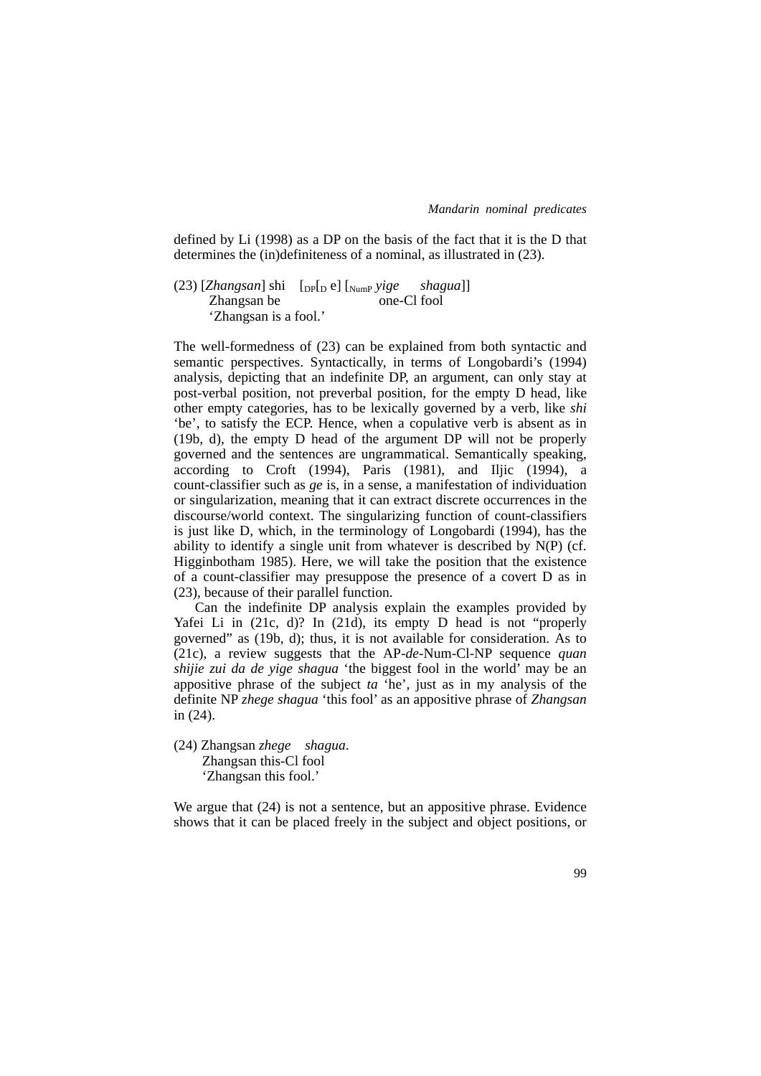defined by Li (1998) as a DP on the basis of the fact that it is the D that determines the (in)definiteness of a nominal, as illustrated in (23).

(23) [*Zhangsan*] shi [DP[D e] [NumP *yige shagua*]] Zhangsan be one-Cl fool 'Zhangsan is a fool.'

The well-formedness of (23) can be explained from both syntactic and semantic perspectives. Syntactically, in terms of Longobardi's (1994) analysis, depicting that an indefinite DP, an argument, can only stay at post-verbal position, not preverbal position, for the empty D head, like other empty categories, has to be lexically governed by a verb, like *shi* 'be', to satisfy the ECP. Hence, when a copulative verb is absent as in (19b, d), the empty D head of the argument DP will not be properly governed and the sentences are ungrammatical. Semantically speaking, according to Croft (1994), Paris (1981), and Iljic (1994), a count-classifier such as *ge* is, in a sense, a manifestation of individuation or singularization, meaning that it can extract discrete occurrences in the discourse/world context. The singularizing function of count-classifiers is just like D, which, in the terminology of Longobardi (1994), has the ability to identify a single unit from whatever is described by N(P) (cf. Higginbotham 1985). Here, we will take the position that the existence of a count-classifier may presuppose the presence of a covert D as in (23), because of their parallel function.

 Can the indefinite DP analysis explain the examples provided by Yafei Li in (21c, d)? In (21d), its empty D head is not "properly governed" as (19b, d); thus, it is not available for consideration. As to (21c), a review suggests that the AP-*de*-Num-Cl-NP sequence *quan shijie zui da de yige shagua* 'the biggest fool in the world' may be an appositive phrase of the subject *ta* 'he', just as in my analysis of the definite NP *zhege shagua* 'this fool' as an appositive phrase of *Zhangsan* in (24).

(24) Zhangsan *zhege shagua*. Zhangsan this-Cl fool 'Zhangsan this fool.'

We argue that  $(24)$  is not a sentence, but an appositive phrase. Evidence shows that it can be placed freely in the subject and object positions, or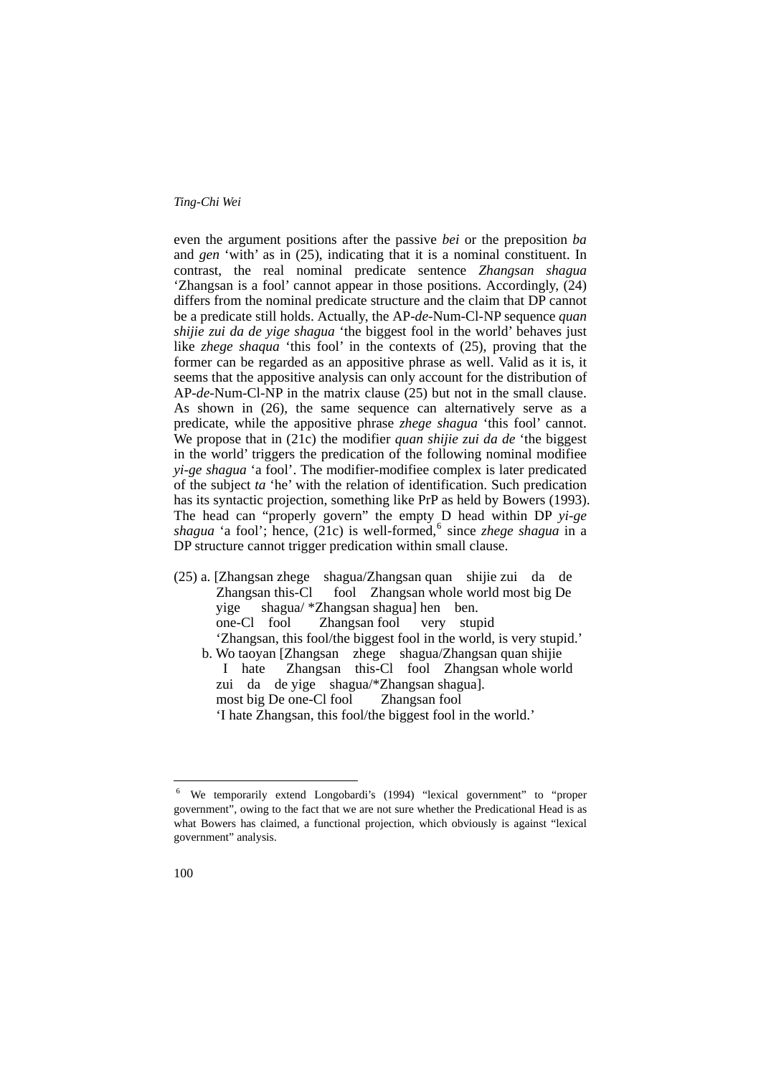even the argument positions after the passive *bei* or the preposition *ba* and *gen* 'with' as in (25), indicating that it is a nominal constituent. In contrast, the real nominal predicate sentence *Zhangsan shagua* 'Zhangsan is a fool' cannot appear in those positions. Accordingly, (24) differs from the nominal predicate structure and the claim that DP cannot be a predicate still holds. Actually, the AP-*de*-Num-Cl-NP sequence *quan shijie zui da de yige shagua* 'the biggest fool in the world' behaves just like *zhege shaqua* 'this fool' in the contexts of (25), proving that the former can be regarded as an appositive phrase as well. Valid as it is, it seems that the appositive analysis can only account for the distribution of AP-*de*-Num-Cl-NP in the matrix clause (25) but not in the small clause. As shown in (26), the same sequence can alternatively serve as a predicate, while the appositive phrase *zhege shagua* 'this fool' cannot. We propose that in (21c) the modifier *quan shijie zui da de* 'the biggest in the world' triggers the predication of the following nominal modifiee *yi-ge shagua* 'a fool'. The modifier-modifiee complex is later predicated of the subject *ta* 'he' with the relation of identification. Such predication has its syntactic projection, something like PrP as held by Bowers (1993). The head can "properly govern" the empty D head within DP *yi-ge*  shagua 'a fool'; hence, (21c) is well-formed, <sup>[6](#page-15-0)</sup> since *zhege shagua* in a DP structure cannot trigger predication within small clause.

(25) a. [Zhangsan zhege shagua/Zhangsan quan shijie zui da de Zhangsan this-Cl fool Zhangsan whole world most big De yige shagua/ \*Zhangsan shagua] hen ben. one-Cl fool Zhangsan fool very stupid 'Zhangsan, this fool/the biggest fool in the world, is very stupid.' b. Wo taoyan [Zhangsan zhege shagua/Zhangsan quan shijie I hate Zhangsan this-Cl fool Zhangsan whole world zui da de yige shagua/\*Zhangsan shagua]. most big De one-Cl fool Zhangsan fool 'I hate Zhangsan, this fool/the biggest fool in the world.'

<u>.</u>

<span id="page-15-0"></span><sup>6</sup> We temporarily extend Longobardi's (1994) "lexical government" to "proper government", owing to the fact that we are not sure whether the Predicational Head is as what Bowers has claimed, a functional projection, which obviously is against "lexical government" analysis.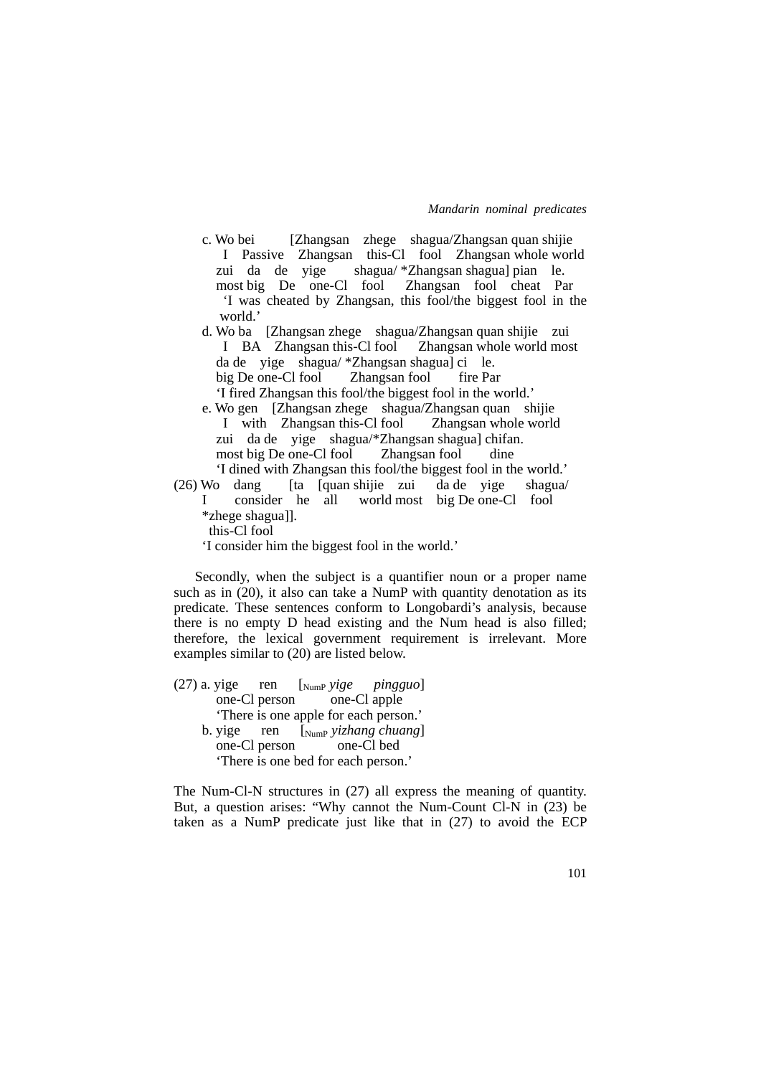- c. Wo bei [Zhangsan zhege shagua/Zhangsan quan shijie I Passive Zhangsan this-Cl fool Zhangsan whole world zui da de yige shagua/ \*Zhangsan shagua] pian le. most big De one-Cl fool Zhangsan fool cheat Par 'I was cheated by Zhangsan, this fool/the biggest fool in the world.'
- d. Wo ba [Zhangsan zhege shagua/Zhangsan quan shijie zui I BA Zhangsan this-Cl fool Zhangsan whole world most da de yige shagua/ \*Zhangsan shagua] ci le. big De one-Cl fool Zhangsan fool fire Par 'I fired Zhangsan this fool/the biggest fool in the world.'
- e. Wo gen [Zhangsan zhege shagua/Zhangsan quan shijie I with Zhangsan this-Cl fool Zhangsan whole world zui da de yige shagua/\*Zhangsan shagua] chifan. most big De one-Cl fool Zhangsan fool dine 'I dined with Zhangsan this fool/the biggest fool in the world.'

 $(26)$  Wo dang [ta [quan shijie zui da de yige shagua/ I consider he all world most big De one-Cl fool \*zhege shagua]]. this-Cl fool

'I consider him the biggest fool in the world.'

 Secondly, when the subject is a quantifier noun or a proper name such as in (20), it also can take a NumP with quantity denotation as its predicate. These sentences conform to Longobardi's analysis, because there is no empty D head existing and the Num head is also filled; therefore, the lexical government requirement is irrelevant. More examples similar to (20) are listed below.

(27) a. yige ren [NumP *yige pingguo*] one-Cl person one-Cl apple 'There is one apple for each person.' b. yige ren [NumP *yizhang chuang*] one-Cl person one-Cl bed 'There is one bed for each person.'

The Num-Cl-N structures in (27) all express the meaning of quantity. But, a question arises: "Why cannot the Num-Count Cl-N in (23) be taken as a NumP predicate just like that in (27) to avoid the ECP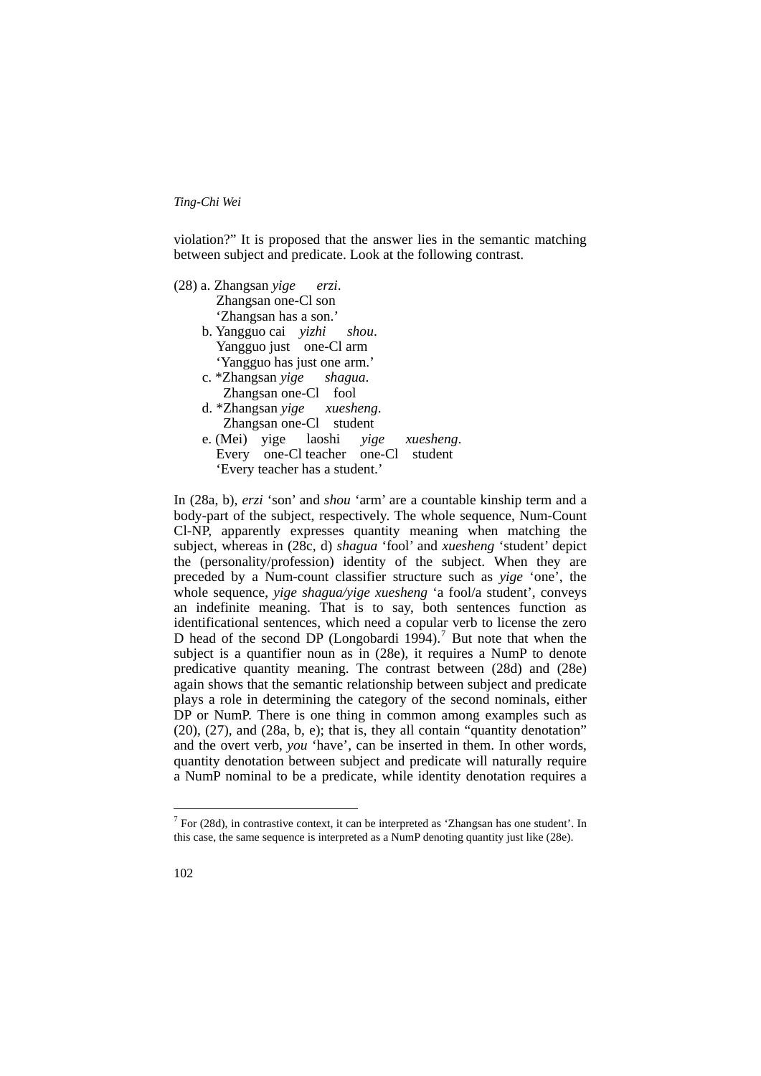violation?" It is proposed that the answer lies in the semantic matching between subject and predicate. Look at the following contrast.

| (28) a. Zhangsan yige erzi.         |
|-------------------------------------|
| Zhangsan one-Cl son                 |
| 'Zhangsan has a son.'               |
| b. Yangguo cai yizhi shou.          |
| Yangguo just one-Cl arm             |
| 'Yangguo has just one arm.'         |
| c. *Zhangsan yige shagua.           |
| Zhangsan one-Cl fool                |
| d. *Zhangsan yige xuesheng.         |
| Zhangsan one-Cl student             |
| e. (Mei) yige laoshi yige xuesheng. |
| Every one-Cl teacher one-Cl student |
| 'Every teacher has a student.'      |
|                                     |

In (28a, b), *erzi* 'son' and *shou* 'arm' are a countable kinship term and a body-part of the subject, respectively. The whole sequence, Num-Count Cl-NP, apparently expresses quantity meaning when matching the subject, whereas in (28c, d) *shagua* 'fool' and *xuesheng* 'student' depict the (personality/profession) identity of the subject. When they are preceded by a Num-count classifier structure such as *yige* 'one', the whole sequence, *yige shagua/yige xuesheng* 'a fool/a student', conveys an indefinite meaning. That is to say, both sentences function as identificational sentences, which need a copular verb to license the zero D head of the second DP (Longobardi 1994).<sup>[7](#page-17-0)</sup> But note that when the subject is a quantifier noun as in (28e), it requires a NumP to denote predicative quantity meaning. The contrast between (28d) and (28e) again shows that the semantic relationship between subject and predicate plays a role in determining the category of the second nominals, either DP or NumP. There is one thing in common among examples such as (20), (27), and (28a, b, e); that is, they all contain "quantity denotation" and the overt verb, *you* 'have', can be inserted in them. In other words, quantity denotation between subject and predicate will naturally require a NumP nominal to be a predicate, while identity denotation requires a

1

<span id="page-17-0"></span> $7$  For (28d), in contrastive context, it can be interpreted as 'Zhangsan has one student'. In this case, the same sequence is interpreted as a NumP denoting quantity just like (28e).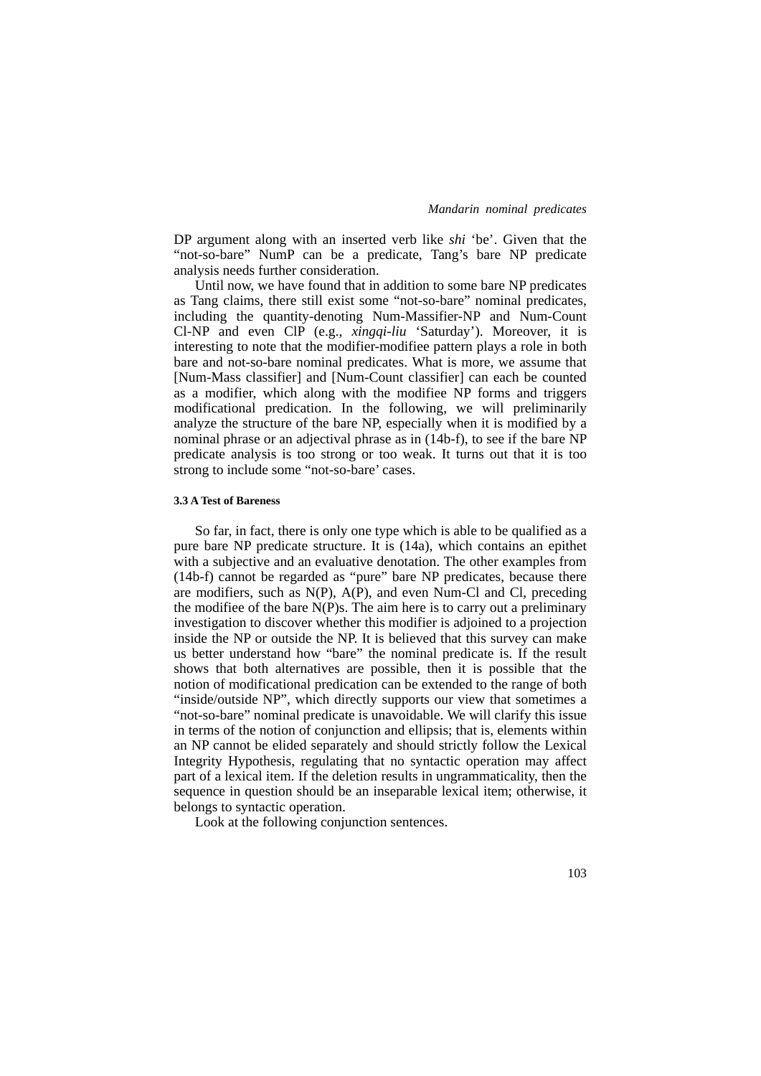DP argument along with an inserted verb like *shi* 'be'. Given that the "not-so-bare" NumP can be a predicate, Tang's bare NP predicate analysis needs further consideration.

 Until now, we have found that in addition to some bare NP predicates as Tang claims, there still exist some "not-so-bare" nominal predicates, including the quantity-denoting Num-Massifier-NP and Num-Count Cl-NP and even ClP (e.g., *xingqi-liu* 'Saturday'). Moreover, it is interesting to note that the modifier-modifiee pattern plays a role in both bare and not-so-bare nominal predicates. What is more, we assume that [Num-Mass classifier] and [Num-Count classifier] can each be counted as a modifier, which along with the modifiee NP forms and triggers modificational predication. In the following, we will preliminarily analyze the structure of the bare NP, especially when it is modified by a nominal phrase or an adjectival phrase as in (14b-f), to see if the bare NP predicate analysis is too strong or too weak. It turns out that it is too strong to include some "not-so-bare' cases.

#### **3.3 A Test of Bareness**

 So far, in fact, there is only one type which is able to be qualified as a pure bare NP predicate structure. It is (14a), which contains an epithet with a subjective and an evaluative denotation. The other examples from (14b-f) cannot be regarded as "pure" bare NP predicates, because there are modifiers, such as N(P), A(P), and even Num-Cl and Cl, preceding the modifiee of the bare  $N(P)s$ . The aim here is to carry out a preliminary investigation to discover whether this modifier is adjoined to a projection inside the NP or outside the NP. It is believed that this survey can make us better understand how "bare" the nominal predicate is. If the result shows that both alternatives are possible, then it is possible that the notion of modificational predication can be extended to the range of both "inside/outside NP", which directly supports our view that sometimes a "not-so-bare" nominal predicate is unavoidable. We will clarify this issue in terms of the notion of conjunction and ellipsis; that is, elements within an NP cannot be elided separately and should strictly follow the Lexical Integrity Hypothesis, regulating that no syntactic operation may affect part of a lexical item. If the deletion results in ungrammaticality, then the sequence in question should be an inseparable lexical item; otherwise, it belongs to syntactic operation.

Look at the following conjunction sentences.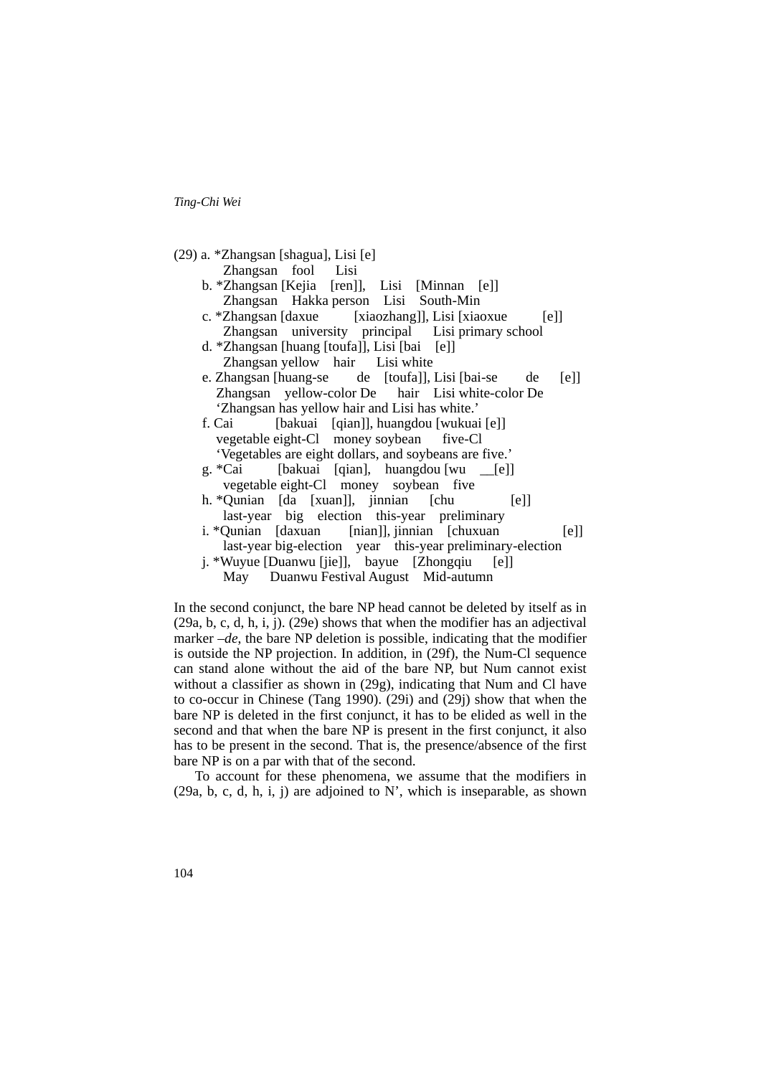(29) a. \*Zhangsan [shagua], Lisi [e] Zhangsan fool Lisi b. \*Zhangsan [Kejia [ren]], Lisi [Minnan [e]] Zhangsan Hakka person Lisi South-Min c. \*Zhangsan [daxue [xiaozhang]], Lisi [xiaoxue [e]] Zhangsan university principal Lisi primary school d. \*Zhangsan [huang [toufa]], Lisi [bai [e]] Zhangsan yellow hair Lisi white e. Zhangsan [huang-se de [toufa]], Lisi [bai-se de [e]] Zhangsan yellow-color De hair Lisi white-color De 'Zhangsan has yellow hair and Lisi has white.' f. Cai [bakuai [qian]], huangdou [wukuai [e]] vegetable eight-Cl money soybean five-Cl 'Vegetables are eight dollars, and soybeans are five.' g. \*Cai [bakuai [qian], huangdou [wu [e]] vegetable eight-Cl money soybean five h. \*Qunian [da [xuan]], jinnian [chu [e]] last-year big election this-year preliminary i. \*Qunian [daxuan [nian]], jinnian [chuxuan [e]] last-year big-election year this-year preliminary-election j. \*Wuyue [Duanwu [jie]], bayue [Zhongqiu [e]] May Duanwu Festival August Mid-autumn

In the second conjunct, the bare NP head cannot be deleted by itself as in (29a, b, c, d, h, i, j). (29e) shows that when the modifier has an adjectival marker *–de*, the bare NP deletion is possible, indicating that the modifier is outside the NP projection. In addition, in (29f), the Num-Cl sequence can stand alone without the aid of the bare NP, but Num cannot exist without a classifier as shown in (29g), indicating that Num and Cl have to co-occur in Chinese (Tang 1990). (29i) and (29j) show that when the bare NP is deleted in the first conjunct, it has to be elided as well in the second and that when the bare NP is present in the first conjunct, it also has to be present in the second. That is, the presence/absence of the first bare NP is on a par with that of the second.

 To account for these phenomena, we assume that the modifiers in  $(29a, b, c, d, h, i, j)$  are adjoined to N', which is inseparable, as shown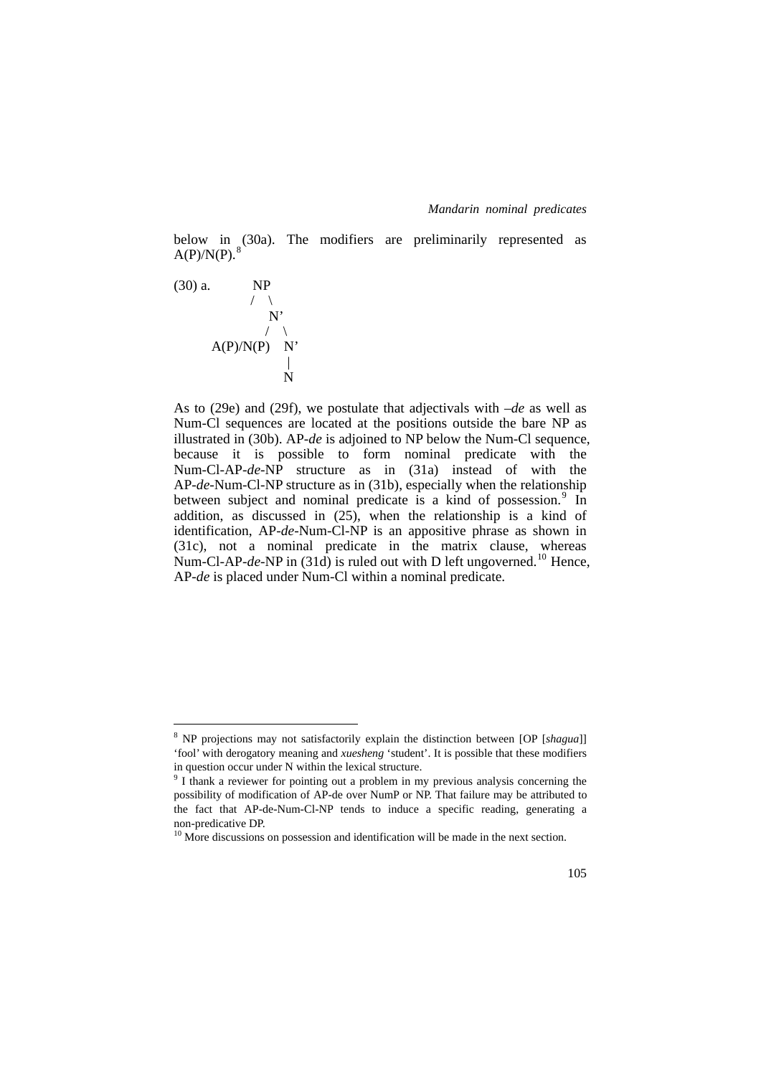below in (30a). The modifiers are preliminarily represented as  $A(P)/N(P)$ .<sup>[8](#page-20-0)</sup>



1

As to (29e) and (29f), we postulate that adjectivals with *–de* as well as Num-Cl sequences are located at the positions outside the bare NP as illustrated in (30b). AP*-de* is adjoined to NP below the Num-Cl sequence, because it is possible to form nominal predicate with the Num-Cl-AP-*de*-NP structure as in (31a) instead of with the AP-*de*-Num-Cl-NP structure as in (31b), especially when the relationship between subject and nominal predicate is a kind of possession.<sup>[9](#page-20-1)</sup> In addition, as discussed in (25), when the relationship is a kind of identification, AP-*de*-Num-Cl-NP is an appositive phrase as shown in (31c), not a nominal predicate in the matrix clause, whereas Num-Cl-AP-*de*-NP in (31d) is ruled out with D left ungoverned.<sup>[10](#page-20-2)</sup> Hence, AP*-de* is placed under Num-Cl within a nominal predicate.

<span id="page-20-0"></span><sup>8</sup> NP projections may not satisfactorily explain the distinction between [OP [*shagua*]] 'fool' with derogatory meaning and *xuesheng* 'student'. It is possible that these modifiers in question occur under N within the lexical structure.

<span id="page-20-1"></span> $\frac{9}{1}$  thank a reviewer for pointing out a problem in my previous analysis concerning the possibility of modification of AP-de over NumP or NP. That failure may be attributed to the fact that AP-de-Num-Cl-NP tends to induce a specific reading, generating a non-predicative DP.

<span id="page-20-2"></span><sup>&</sup>lt;sup>10</sup> More discussions on possession and identification will be made in the next section.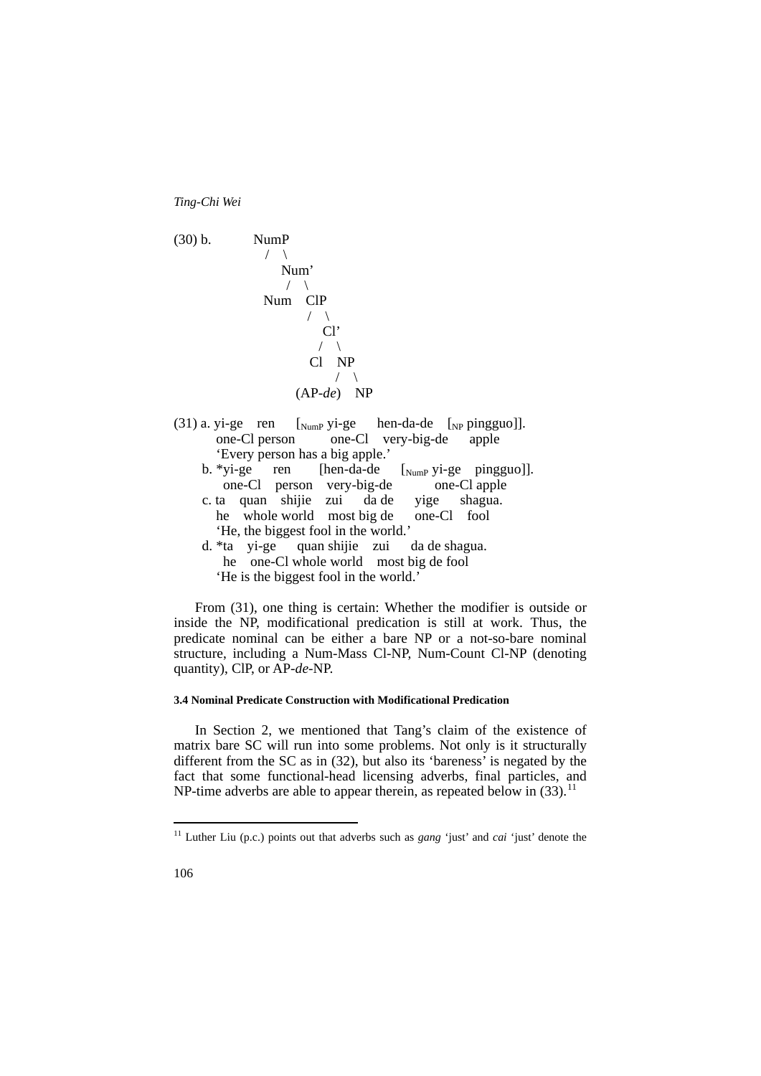

 From (31), one thing is certain: Whether the modifier is outside or inside the NP, modificational predication is still at work. Thus, the predicate nominal can be either a bare NP or a not-so-bare nominal structure, including a Num-Mass Cl-NP, Num-Count Cl-NP (denoting quantity), ClP, or AP-*de*-NP.

#### **3.4 Nominal Predicate Construction with Modificational Predication**

 In Section 2, we mentioned that Tang's claim of the existence of matrix bare SC will run into some problems. Not only is it structurally different from the SC as in (32), but also its 'bareness' is negated by the fact that some functional-head licensing adverbs, final particles, and NP-time adverbs are able to appear therein, as repeated below in  $(33)$ .<sup>[11](#page-21-0)</sup>

<u>.</u>

<span id="page-21-0"></span><sup>11</sup> Luther Liu (p.c.) points out that adverbs such as *gang* 'just' and *cai* 'just' denote the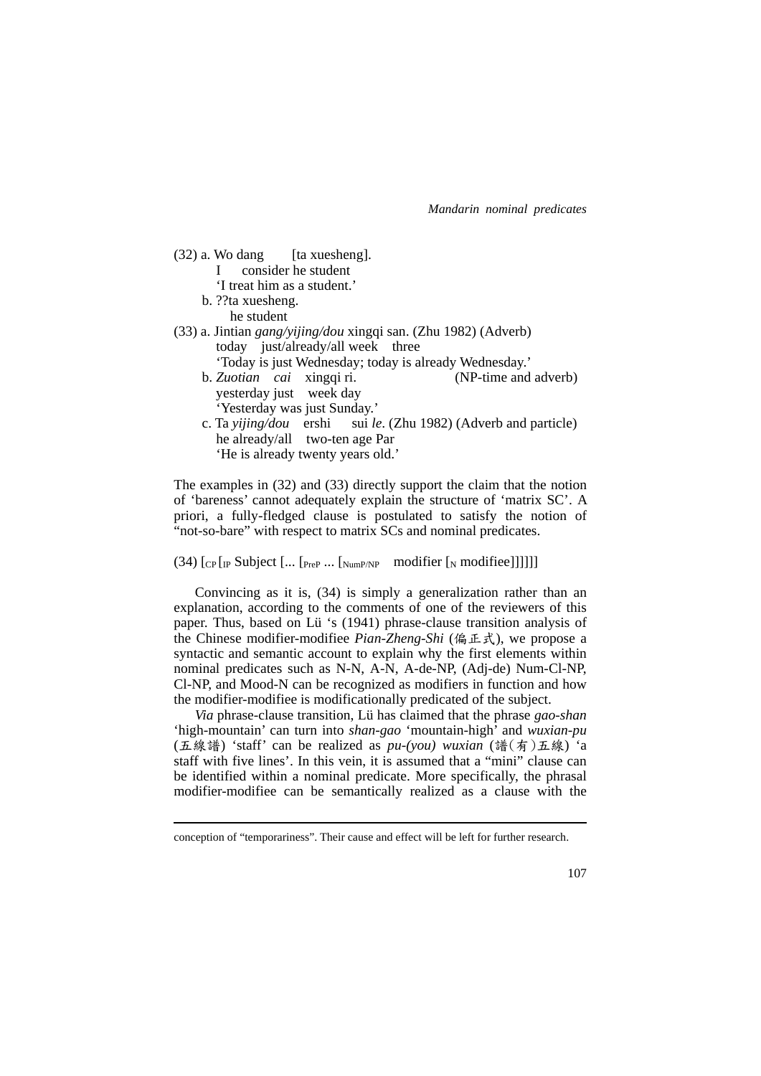- $(32)$  a. Wo dang [ta xuesheng]. I consider he student
	- 'I treat him as a student.'
	- b. ??ta xuesheng.
		- he student

<u>.</u>

- (33) a. Jintian *gang/yijing/dou* xingqi san. (Zhu 1982) (Adverb) today just/already/all week three 'Today is just Wednesday; today is already Wednesday.'
	- b. *Zuotian cai* xingqi ri. (NP-time and adverb) yesterday just week day 'Yesterday was just Sunday.'
	- c. Ta *yijing/dou* ershi sui *le*. (Zhu 1982) (Adverb and particle) he already/all two-ten age Par 'He is already twenty years old.'

The examples in (32) and (33) directly support the claim that the notion of 'bareness' cannot adequately explain the structure of 'matrix SC'. A priori, a fully-fledged clause is postulated to satisfy the notion of "not-so-bare" with respect to matrix SCs and nominal predicates.

(34)  $[CP [IP\text{ Subject } [...] [Pre\text{Number } [Number \text{Number } [N\text{ modifier } [N\text{ modifier } ]]]]]]$ 

 Convincing as it is, (34) is simply a generalization rather than an explanation, according to the comments of one of the reviewers of this paper. Thus, based on Lü 's (1941) phrase-clause transition analysis of the Chinese modifier-modifiee *Pian-Zheng-Shi* (偏正式), we propose a syntactic and semantic account to explain why the first elements within nominal predicates such as N-N, A-N, A-de-NP, (Adj-de) Num-Cl-NP, Cl-NP, and Mood-N can be recognized as modifiers in function and how the modifier-modifiee is modificationally predicated of the subject.

 *Via* phrase-clause transition, Lu\_ has claimed that the phrase *gao-shan* 'high-mountain' can turn into *shan-gao* 'mountain-high' and *wuxian-pu* (五線譜) 'staff' can be realized as *pu-(you) wuxian* (譜(有)五線) 'a staff with five lines'. In this vein, it is assumed that a "mini" clause can be identified within a nominal predicate. More specifically, the phrasal modifier-modifiee can be semantically realized as a clause with the

conception of "temporariness". Their cause and effect will be left for further research.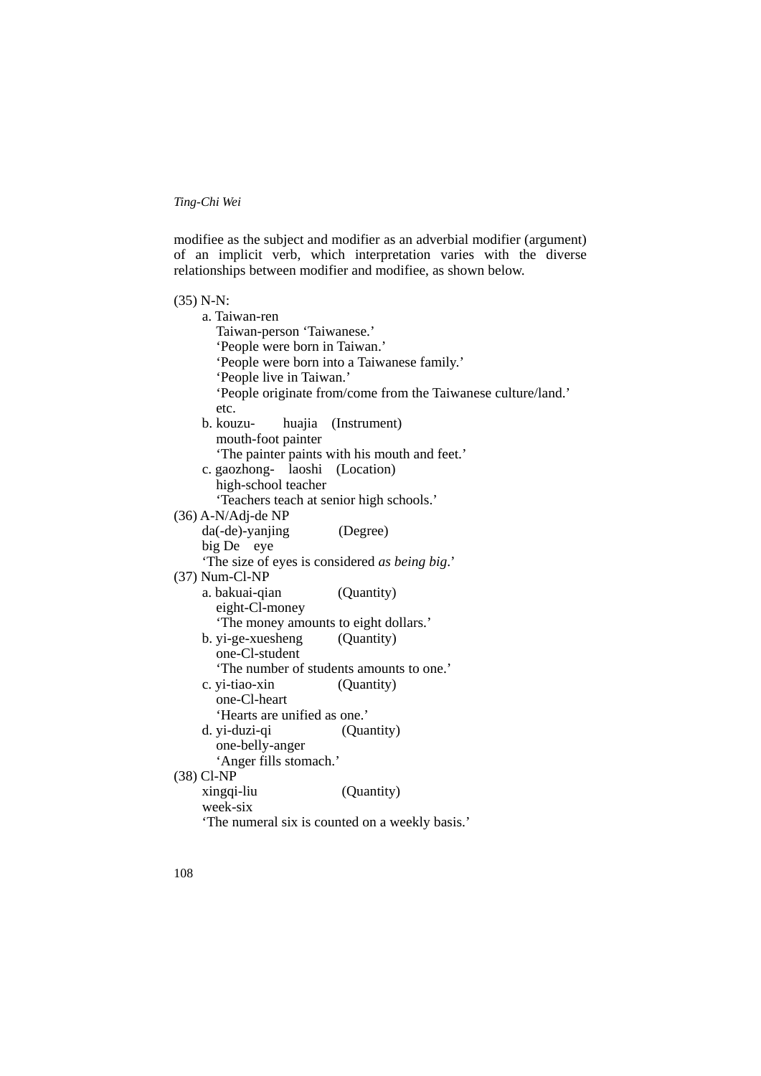modifiee as the subject and modifier as an adverbial modifier (argument) of an implicit verb, which interpretation varies with the diverse relationships between modifier and modifiee, as shown below.

| $(35) N-N$ :                                                  |
|---------------------------------------------------------------|
| a. Taiwan-ren                                                 |
| Taiwan-person 'Taiwanese.'                                    |
| 'People were born in Taiwan.'                                 |
| 'People were born into a Taiwanese family.'                   |
| 'People live in Taiwan.'                                      |
| 'People originate from/come from the Taiwanese culture/land.' |
| etc.                                                          |
| b. kouzu-<br>huajia<br>(Instrument)                           |
| mouth-foot painter                                            |
| 'The painter paints with his mouth and feet.'                 |
| c. gaozhong- laoshi (Location)                                |
| high-school teacher                                           |
| 'Teachers teach at senior high schools.'                      |
| $(36)$ A-N/Adj-de NP                                          |
| da(-de)-yanjing<br>(Degree)                                   |
| big De eye                                                    |
| 'The size of eyes is considered as being big.'                |
| $(37)$ Num-Cl-NP                                              |
| a. bakuai-qian<br>(Quantity)                                  |
| eight-Cl-money                                                |
| 'The money amounts to eight dollars.'                         |
| b. yi-ge-xuesheng<br>(Quantity)                               |
| one-Cl-student                                                |
| 'The number of students amounts to one.'                      |
| (Quantity)<br>c. yi-tiao-xin                                  |
| one-Cl-heart                                                  |
| 'Hearts are unified as one.'                                  |
| d. yi-duzi-qi<br>(Quantity)                                   |
| one-belly-anger                                               |
| 'Anger fills stomach.'                                        |
| $(38)$ Cl-NP                                                  |
| xingqi-liu<br>(Quantity)                                      |
| week-six                                                      |
| 'The numeral six is counted on a weekly basis.'               |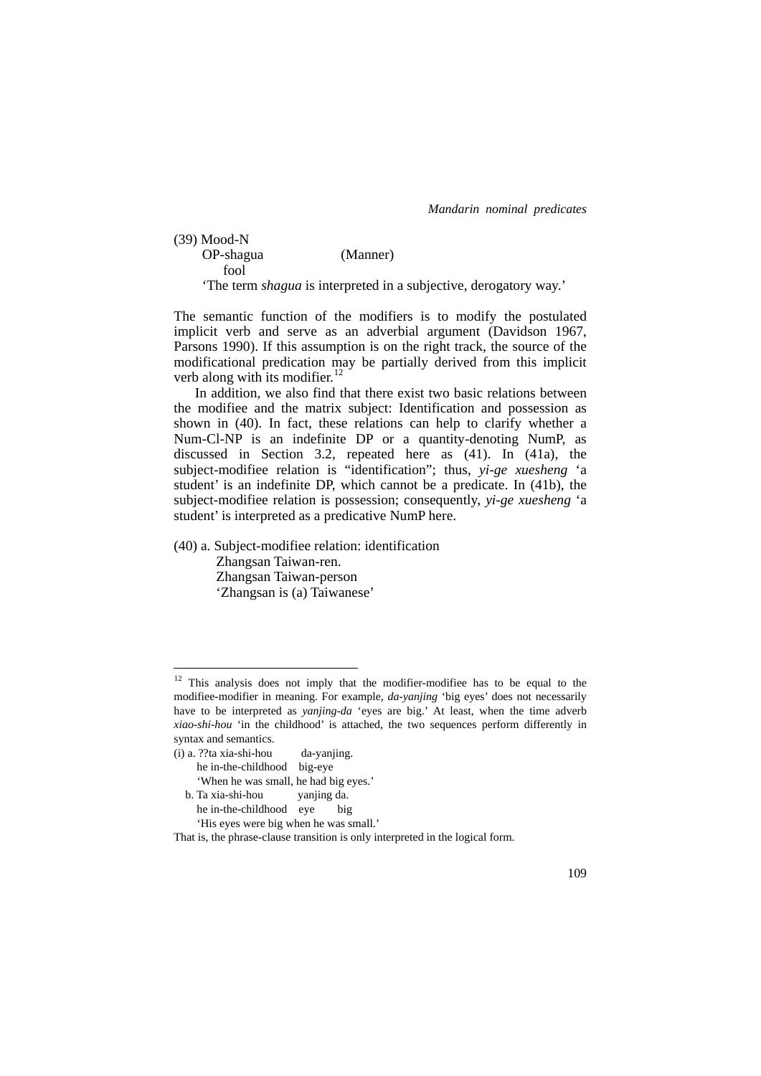| $(39)$ Mood-N |                                                                          |  |
|---------------|--------------------------------------------------------------------------|--|
| OP-shagua     | (Manner)                                                                 |  |
| fool          |                                                                          |  |
|               | 'The term <i>shagua</i> is interpreted in a subjective, derogatory way.' |  |

The semantic function of the modifiers is to modify the postulated implicit verb and serve as an adverbial argument (Davidson 1967, Parsons 1990). If this assumption is on the right track, the source of the modificational predication may be partially derived from this implicit verb along with its modifier. $^{12}$  $^{12}$  $^{12}$ 

 In addition, we also find that there exist two basic relations between the modifiee and the matrix subject: Identification and possession as shown in (40). In fact, these relations can help to clarify whether a Num-Cl-NP is an indefinite DP or a quantity-denoting NumP, as discussed in Section 3.2, repeated here as (41). In (41a), the subject-modifiee relation is "identification"; thus, *yi-ge xuesheng* 'a student' is an indefinite DP, which cannot be a predicate. In (41b), the subject-modifiee relation is possession; consequently, *yi-ge xuesheng* 'a student' is interpreted as a predicative NumP here.

(40) a. Subject-modifiee relation: identification Zhangsan Taiwan-ren. Zhangsan Taiwan-person 'Zhangsan is (a) Taiwanese'

1

<span id="page-24-0"></span> $12$  This analysis does not imply that the modifier-modifiee has to be equal to the modifiee-modifier in meaning. For example, *da-yanjing* 'big eyes' does not necessarily have to be interpreted as *yanjing-da* 'eyes are big.' At least, when the time adverb *xiao-shi-hou* 'in the childhood' is attached, the two sequences perform differently in syntax and semantics.

<sup>(</sup>i) a. ??ta xia-shi-hou da-yanjing. he in-the-childhood big-eye 'When he was small, he had big eyes.' b. Ta xia-shi-hou yanjing da. he in-the-childhood eye big 'His eyes were big when he was small.'

That is, the phrase-clause transition is only interpreted in the logical form.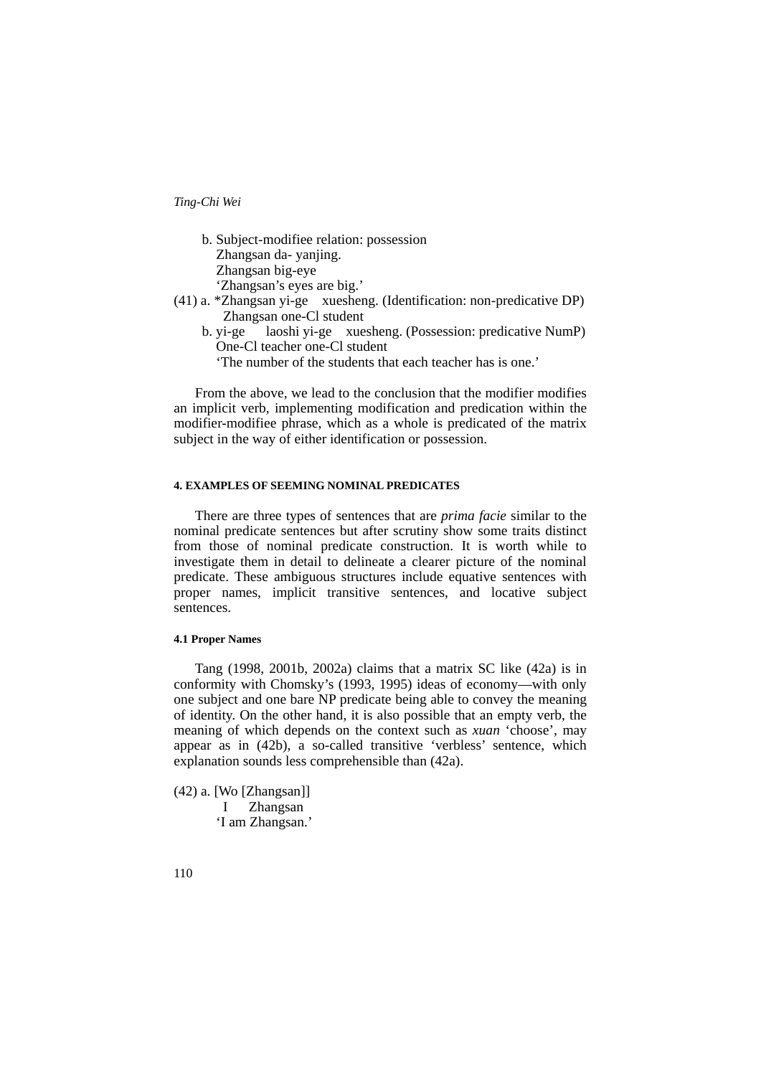| b. Subject-modifiee relation: possession                               |  |  |              |              |
|------------------------------------------------------------------------|--|--|--------------|--------------|
| Zhangsan da-yanjing.                                                   |  |  |              |              |
| Zhangsan big-eye                                                       |  |  |              |              |
| 'Zhangsan's eyes are big.'                                             |  |  |              |              |
| (41) a. *Zhangsan yi-ge xuesheng. (Identification: non-predicative DP) |  |  |              |              |
| Zhangsan one-Cl student                                                |  |  |              |              |
|                                                                        |  |  | $\mathbf{1}$ | $\mathbf{r}$ |

- b. yi-ge laoshi yi-ge xuesheng. (Possession: predicative NumP) One-Cl teacher one-Cl student
	- 'The number of the students that each teacher has is one.'

 From the above, we lead to the conclusion that the modifier modifies an implicit verb, implementing modification and predication within the modifier-modifiee phrase, which as a whole is predicated of the matrix subject in the way of either identification or possession.

# **4. EXAMPLES OF SEEMING NOMINAL PREDICATES**

 There are three types of sentences that are *prima facie* similar to the nominal predicate sentences but after scrutiny show some traits distinct from those of nominal predicate construction. It is worth while to investigate them in detail to delineate a clearer picture of the nominal predicate. These ambiguous structures include equative sentences with proper names, implicit transitive sentences, and locative subject sentences.

### **4.1 Proper Names**

 Tang (1998, 2001b, 2002a) claims that a matrix SC like (42a) is in conformity with Chomsky's (1993, 1995) ideas of economy—with only one subject and one bare NP predicate being able to convey the meaning of identity. On the other hand, it is also possible that an empty verb, the meaning of which depends on the context such as *xuan* 'choose', may appear as in (42b), a so-called transitive 'verbless' sentence, which explanation sounds less comprehensible than (42a).

(42) a. [Wo [Zhangsan]] I Zhangsan 'I am Zhangsan.'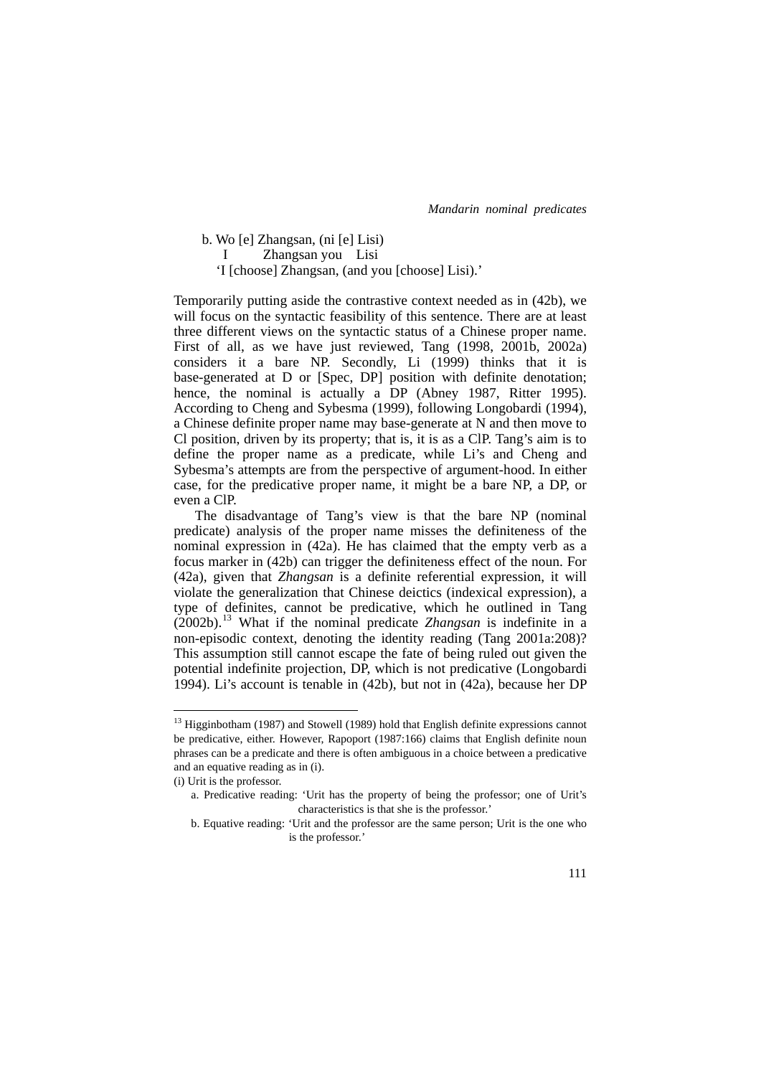b. Wo [e] Zhangsan, (ni [e] Lisi)

I Zhangsan you Lisi

'I [choose] Zhangsan, (and you [choose] Lisi).'

Temporarily putting aside the contrastive context needed as in (42b), we will focus on the syntactic feasibility of this sentence. There are at least three different views on the syntactic status of a Chinese proper name. First of all, as we have just reviewed, Tang (1998, 2001b, 2002a) considers it a bare NP. Secondly, Li (1999) thinks that it is base-generated at D or [Spec, DP] position with definite denotation; hence, the nominal is actually a DP (Abney 1987, Ritter 1995). According to Cheng and Sybesma (1999), following Longobardi (1994), a Chinese definite proper name may base-generate at N and then move to Cl position, driven by its property; that is, it is as a ClP. Tang's aim is to define the proper name as a predicate, while Li's and Cheng and Sybesma's attempts are from the perspective of argument-hood. In either case, for the predicative proper name, it might be a bare NP, a DP, or even a ClP.

 The disadvantage of Tang's view is that the bare NP (nominal predicate) analysis of the proper name misses the definiteness of the nominal expression in (42a). He has claimed that the empty verb as a focus marker in (42b) can trigger the definiteness effect of the noun. For (42a), given that *Zhangsan* is a definite referential expression, it will violate the generalization that Chinese deictics (indexical expression), a type of definites, cannot be predicative, which he outlined in Tang (2002b).[13](#page-26-0) What if the nominal predicate *Zhangsan* is indefinite in a non-episodic context, denoting the identity reading (Tang 2001a:208)? This assumption still cannot escape the fate of being ruled out given the potential indefinite projection, DP, which is not predicative (Longobardi 1994). Li's account is tenable in (42b), but not in (42a), because her DP

1

<span id="page-26-0"></span><sup>&</sup>lt;sup>13</sup> Higginbotham (1987) and Stowell (1989) hold that English definite expressions cannot be predicative, either. However, Rapoport (1987:166) claims that English definite noun phrases can be a predicate and there is often ambiguous in a choice between a predicative and an equative reading as in (i).

<sup>(</sup>i) Urit is the professor.

a. Predicative reading: 'Urit has the property of being the professor; one of Urit's characteristics is that she is the professor.'

b. Equative reading: 'Urit and the professor are the same person; Urit is the one who is the professor.'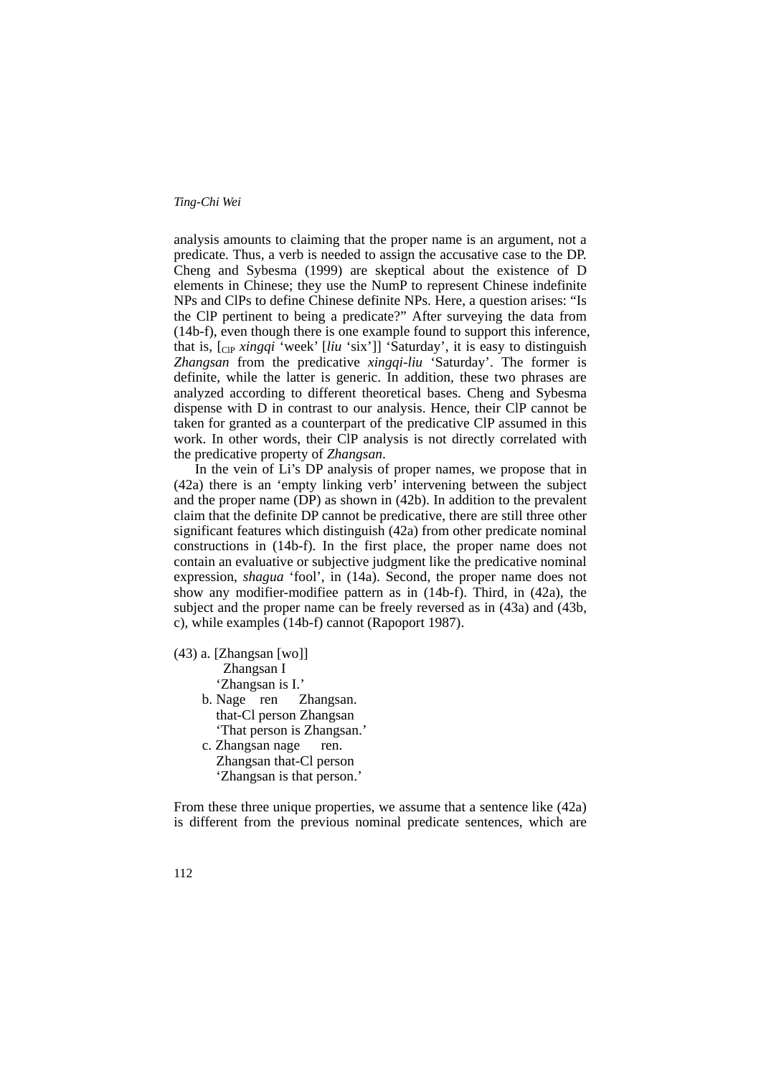analysis amounts to claiming that the proper name is an argument, not a predicate. Thus, a verb is needed to assign the accusative case to the DP. Cheng and Sybesma (1999) are skeptical about the existence of D elements in Chinese; they use the NumP to represent Chinese indefinite NPs and ClPs to define Chinese definite NPs. Here, a question arises: "Is the ClP pertinent to being a predicate?" After surveying the data from (14b-f), even though there is one example found to support this inference, that is, [ClP *xingqi* 'week' [*liu* 'six']] 'Saturday', it is easy to distinguish *Zhangsan* from the predicative *xingqi-liu* 'Saturday'. The former is definite, while the latter is generic. In addition, these two phrases are analyzed according to different theoretical bases. Cheng and Sybesma dispense with D in contrast to our analysis. Hence, their ClP cannot be taken for granted as a counterpart of the predicative ClP assumed in this work. In other words, their ClP analysis is not directly correlated with the predicative property of *Zhangsan*.

 In the vein of Li's DP analysis of proper names, we propose that in (42a) there is an 'empty linking verb' intervening between the subject and the proper name (DP) as shown in (42b). In addition to the prevalent claim that the definite DP cannot be predicative, there are still three other significant features which distinguish (42a) from other predicate nominal constructions in (14b-f). In the first place, the proper name does not contain an evaluative or subjective judgment like the predicative nominal expression, *shagua* 'fool', in (14a). Second, the proper name does not show any modifier-modifiee pattern as in (14b-f). Third, in (42a), the subject and the proper name can be freely reversed as in (43a) and (43b, c), while examples (14b-f) cannot (Rapoport 1987).

- (43) a. [Zhangsan [wo]] Zhangsan I 'Zhangsan is I.'
	- b. Nage ren Zhangsan. that-Cl person Zhangsan 'That person is Zhangsan.' c. Zhangsan nage ren.
		- Zhangsan that-Cl person 'Zhangsan is that person.'

From these three unique properties, we assume that a sentence like (42a) is different from the previous nominal predicate sentences, which are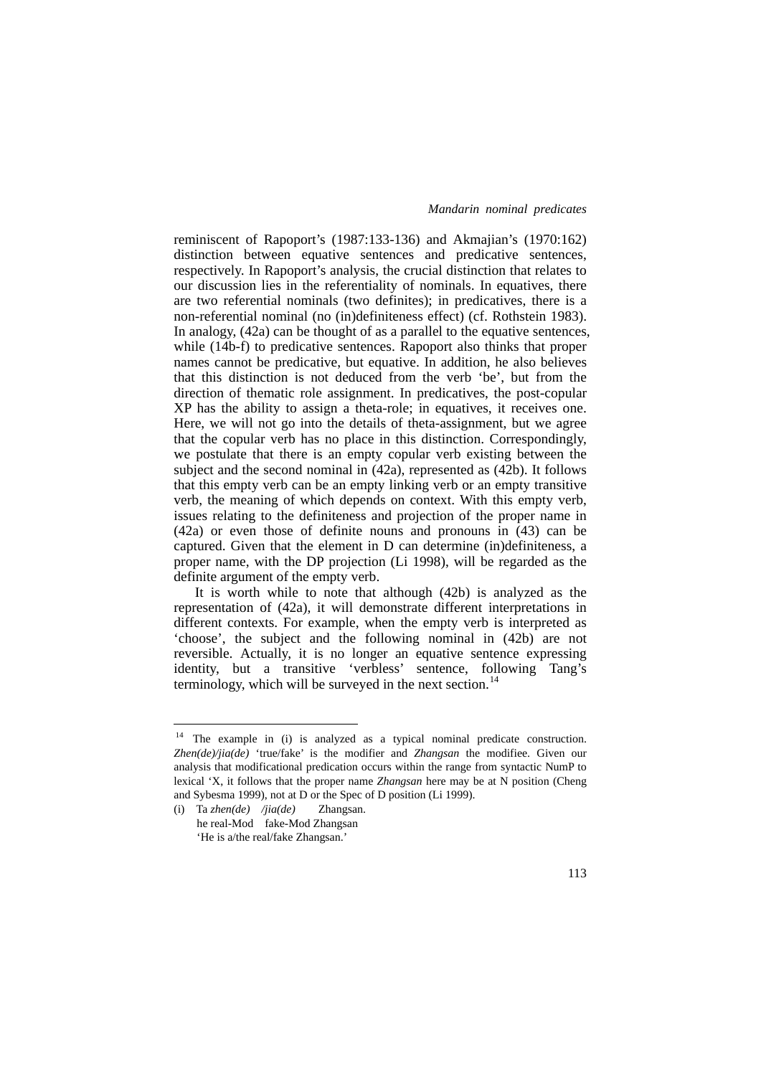reminiscent of Rapoport's (1987:133-136) and Akmajian's (1970:162) distinction between equative sentences and predicative sentences, respectively. In Rapoport's analysis, the crucial distinction that relates to our discussion lies in the referentiality of nominals. In equatives, there are two referential nominals (two definites); in predicatives, there is a non-referential nominal (no (in)definiteness effect) (cf. Rothstein 1983). In analogy, (42a) can be thought of as a parallel to the equative sentences, while (14b-f) to predicative sentences. Rapoport also thinks that proper names cannot be predicative, but equative. In addition, he also believes that this distinction is not deduced from the verb 'be', but from the direction of thematic role assignment. In predicatives, the post-copular XP has the ability to assign a theta-role; in equatives, it receives one. Here, we will not go into the details of theta-assignment, but we agree that the copular verb has no place in this distinction. Correspondingly, we postulate that there is an empty copular verb existing between the subject and the second nominal in (42a), represented as (42b). It follows that this empty verb can be an empty linking verb or an empty transitive verb, the meaning of which depends on context. With this empty verb, issues relating to the definiteness and projection of the proper name in (42a) or even those of definite nouns and pronouns in (43) can be captured. Given that the element in D can determine (in)definiteness, a proper name, with the DP projection (Li 1998), will be regarded as the definite argument of the empty verb.

 It is worth while to note that although (42b) is analyzed as the representation of (42a), it will demonstrate different interpretations in different contexts. For example, when the empty verb is interpreted as 'choose', the subject and the following nominal in (42b) are not reversible. Actually, it is no longer an equative sentence expressing identity, but a transitive 'verbless' sentence, following Tang's terminology, which will be surveyed in the next section.<sup>[14](#page-28-0)</sup>

1

<span id="page-28-0"></span><sup>&</sup>lt;sup>14</sup> The example in (i) is analyzed as a typical nominal predicate construction. *Zhen(de)/jia(de)* 'true/fake' is the modifier and *Zhangsan* the modifiee. Given our analysis that modificational predication occurs within the range from syntactic NumP to lexical 'X, it follows that the proper name *Zhangsan* here may be at N position (Cheng and Sybesma 1999), not at D or the Spec of D position (Li 1999).

<sup>(</sup>i) Ta *zhen(de) /jia(de)* Zhangsan. he real-Mod fake-Mod Zhangsan 'He is a/the real/fake Zhangsan.'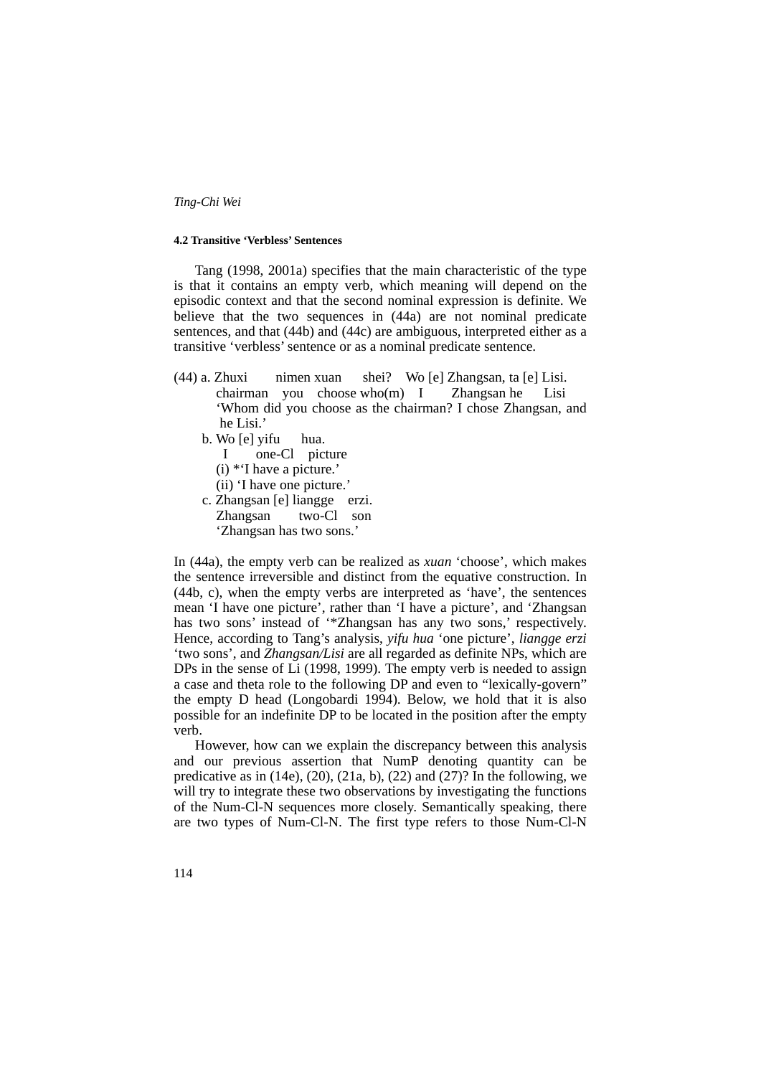#### **4.2 Transitive 'Verbless' Sentences**

 Tang (1998, 2001a) specifies that the main characteristic of the type is that it contains an empty verb, which meaning will depend on the episodic context and that the second nominal expression is definite. We believe that the two sequences in  $(44a)$  are not nominal predicate sentences, and that (44b) and (44c) are ambiguous, interpreted either as a transitive 'verbless' sentence or as a nominal predicate sentence.

- (44) a. Zhuxi nimen xuan shei? Wo [e] Zhangsan, ta [e] Lisi. chairman you choose who(m) I Zhangsan he Lisi 'Whom did you choose as the chairman? I chose Zhangsan, and he Lisi.'
	- b. Wo [e] yifu hua.
		- I one-Cl picture
		- (i) \*'I have a picture.'
		- (ii) 'I have one picture.'
	- c. Zhangsan [e] liangge erzi. Zhangsan two-Cl son 'Zhangsan has two sons.'

In (44a), the empty verb can be realized as *xuan* 'choose', which makes the sentence irreversible and distinct from the equative construction. In (44b, c), when the empty verbs are interpreted as 'have', the sentences mean 'I have one picture', rather than 'I have a picture', and 'Zhangsan has two sons' instead of "Zhangsan has any two sons,' respectively. Hence, according to Tang's analysis, *yifu hua* 'one picture', *liangge erzi* 'two sons', and *Zhangsan/Lisi* are all regarded as definite NPs, which are DPs in the sense of Li (1998, 1999). The empty verb is needed to assign a case and theta role to the following DP and even to "lexically-govern" the empty D head (Longobardi 1994). Below, we hold that it is also possible for an indefinite DP to be located in the position after the empty verb.

 However, how can we explain the discrepancy between this analysis and our previous assertion that NumP denoting quantity can be predicative as in (14e), (20), (21a, b), (22) and (27)? In the following, we will try to integrate these two observations by investigating the functions of the Num-Cl-N sequences more closely. Semantically speaking, there are two types of Num-Cl-N. The first type refers to those Num-Cl-N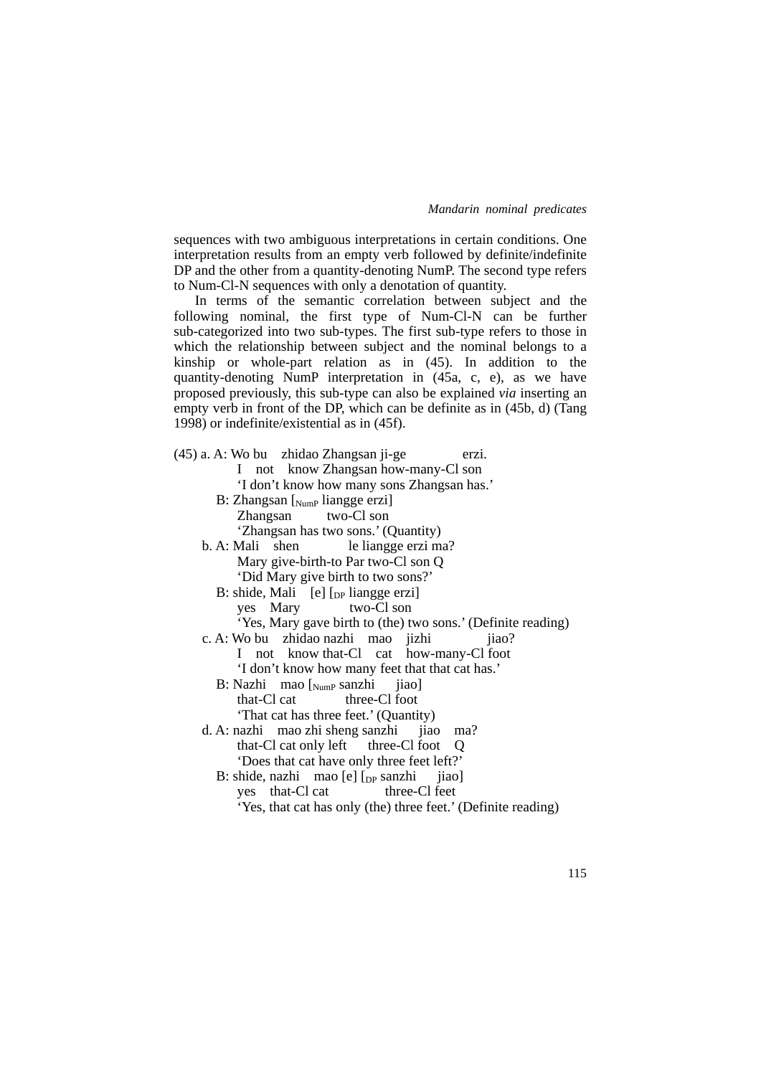sequences with two ambiguous interpretations in certain conditions. One interpretation results from an empty verb followed by definite/indefinite DP and the other from a quantity-denoting NumP. The second type refers to Num-Cl-N sequences with only a denotation of quantity.

 In terms of the semantic correlation between subject and the following nominal, the first type of Num-Cl-N can be further sub-categorized into two sub-types. The first sub-type refers to those in which the relationship between subject and the nominal belongs to a kinship or whole-part relation as in (45). In addition to the quantity-denoting NumP interpretation in (45a, c, e), as we have proposed previously, this sub-type can also be explained *via* inserting an empty verb in front of the DP, which can be definite as in (45b, d) (Tang 1998) or indefinite/existential as in (45f).

| (45) a. A: Wo bu zhidao Zhangsan ji-ge<br>erzi.                                       |
|---------------------------------------------------------------------------------------|
| I not know Zhangsan how-many-Cl son                                                   |
| 'I don't know how many sons Zhangsan has.'                                            |
| B: Zhangsan [Nump liangge erzi]                                                       |
| Zhangsan two-Cl son                                                                   |
| 'Zhangsan has two sons.' (Quantity)                                                   |
| b. A: Mali shen le liangge erzi ma?                                                   |
| Mary give-birth-to Par two-Cl son Q                                                   |
| 'Did Mary give birth to two sons?'                                                    |
| B: shide, Mali [e] [ <sub>DP</sub> liangge erzi]                                      |
| yes Mary two-Cl son                                                                   |
| 'Yes, Mary gave birth to (the) two sons.' (Definite reading)                          |
| c. A: Wo bu zhidao nazhi mao jizhi<br>jiao?                                           |
| I not know that-Cl cat how-many-Cl foot                                               |
| 'I don't know how many feet that that cat has.'                                       |
| B: Nazhi mao $\begin{bmatrix} \text{Num} \text{P} \text{ Sanzhi} \end{bmatrix}$ jiao] |
| that-Cl cat three-Cl foot                                                             |
| 'That cat has three feet.' (Quantity)                                                 |
| d. A: nazhi mao zhi sheng sanzhi jiao ma?                                             |
| that-Cl cat only left three-Cl foot Q                                                 |
| 'Does that cat have only three feet left?'                                            |
| B: shide, nazhi mao [e] $[p_{\text{P}}]$ sanzhi jiao]                                 |
| yes that-Cl cat three-Cl feet                                                         |
| 'Yes, that cat has only (the) three feet.' (Definite reading)                         |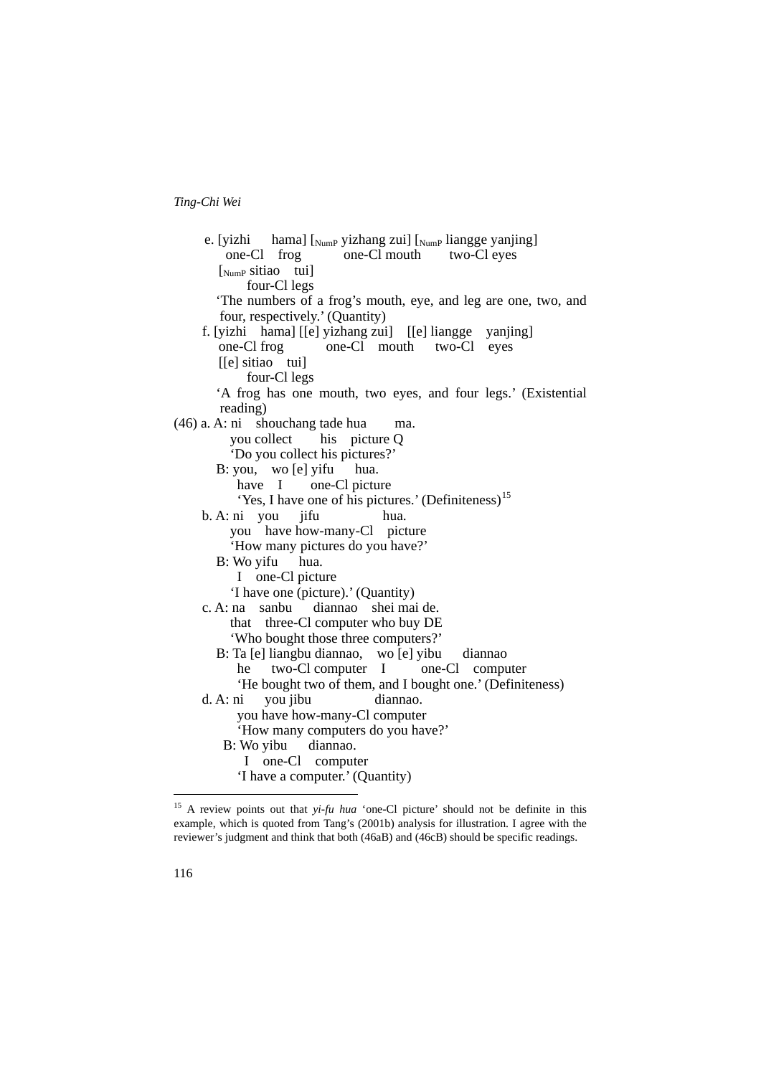e. [yizhi hama]  $\left[ \text{NumP} \right]$  yizhang zui]  $\left[ \text{NumP} \right]$  liangge yanjing] one-Cl frog one-Cl mouth two-Cl eyes [NumP sitiao tui] four-Cl legs 'The numbers of a frog's mouth, eye, and leg are one, two, and four, respectively.' (Quantity) f. [yizhi hama] [[e] yizhang zui] [[e] liangge yanjing] one-Cl frog one-Cl mouth two-Cl eyes [[e] sitiao tui] four-Cl legs 'A frog has one mouth, two eyes, and four legs.' (Existential reading) (46) a. A: ni shouchang tade hua ma. you collect his picture Q 'Do you collect his pictures?' B: you, wo [e] yifu hua. have I one-Cl picture 'Yes, I have one of his pictures.' (Definiteness)<sup>[15](#page-31-0)</sup> b. A: ni you jifu hua. you have how-many-Cl picture 'How many pictures do you have?' B: Wo yifu hua. I one-Cl picture 'I have one (picture).' (Quantity) c. A: na sanbu diannao shei mai de. that three-Cl computer who buy DE 'Who bought those three computers?' B: Ta [e] liangbu diannao, wo [e] yibu diannao he two-Cl computer I one-Cl computer 'He bought two of them, and I bought one.' (Definiteness) d. A: ni you jibu diannao. you have how-many-Cl computer 'How many computers do you have?' B: Wo yibu diannao. I one-Cl computer 'I have a computer.' (Quantity) 1

<span id="page-31-0"></span><sup>&</sup>lt;sup>15</sup> A review points out that *yi-fu hua* 'one-Cl picture' should not be definite in this example, which is quoted from Tang's (2001b) analysis for illustration. I agree with the reviewer's judgment and think that both (46aB) and (46cB) should be specific readings.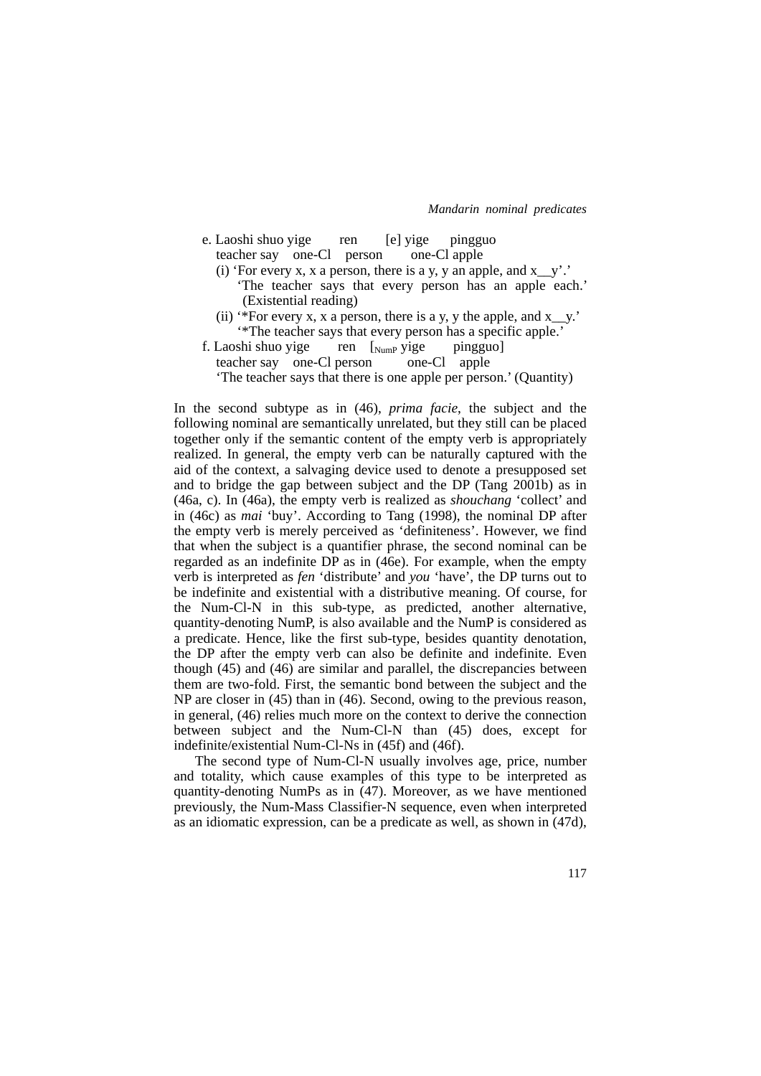| e. Laoshi shuo yige       | ren | [e] yige pingguo |  |
|---------------------------|-----|------------------|--|
| teacher say one-Cl person |     | one-Cl apple     |  |

- (i) 'For every x, x a person, there is a y, y an apple, and  $x_y$ .' 'The teacher says that every person has an apple each.' (Existential reading)
- (ii) '\*For every x, x a person, there is a y, y the apple, and  $x_y$ .' '\*The teacher says that every person has a specific apple.'
- f. Laoshi shuo yige ren [NumP yige pingguo] teacher say one-Cl person one-Cl apple 'The teacher says that there is one apple per person.' (Quantity)

In the second subtype as in (46), *prima facie*, the subject and the following nominal are semantically unrelated, but they still can be placed together only if the semantic content of the empty verb is appropriately realized. In general, the empty verb can be naturally captured with the aid of the context, a salvaging device used to denote a presupposed set and to bridge the gap between subject and the DP (Tang 2001b) as in (46a, c). In (46a), the empty verb is realized as *shouchang* 'collect' and in (46c) as *mai* 'buy'. According to Tang (1998), the nominal DP after the empty verb is merely perceived as 'definiteness'. However, we find that when the subject is a quantifier phrase, the second nominal can be regarded as an indefinite DP as in (46e). For example, when the empty verb is interpreted as *fen* 'distribute' and *you* 'have', the DP turns out to be indefinite and existential with a distributive meaning. Of course, for the Num-Cl-N in this sub-type, as predicted, another alternative, quantity-denoting NumP, is also available and the NumP is considered as a predicate. Hence, like the first sub-type, besides quantity denotation, the DP after the empty verb can also be definite and indefinite. Even though (45) and (46) are similar and parallel, the discrepancies between them are two-fold. First, the semantic bond between the subject and the NP are closer in (45) than in (46). Second, owing to the previous reason, in general, (46) relies much more on the context to derive the connection between subject and the Num-Cl-N than (45) does, except for indefinite/existential Num-Cl-Ns in (45f) and (46f).

 The second type of Num-Cl-N usually involves age, price, number and totality, which cause examples of this type to be interpreted as quantity-denoting NumPs as in (47). Moreover, as we have mentioned previously, the Num-Mass Classifier-N sequence, even when interpreted as an idiomatic expression, can be a predicate as well, as shown in (47d),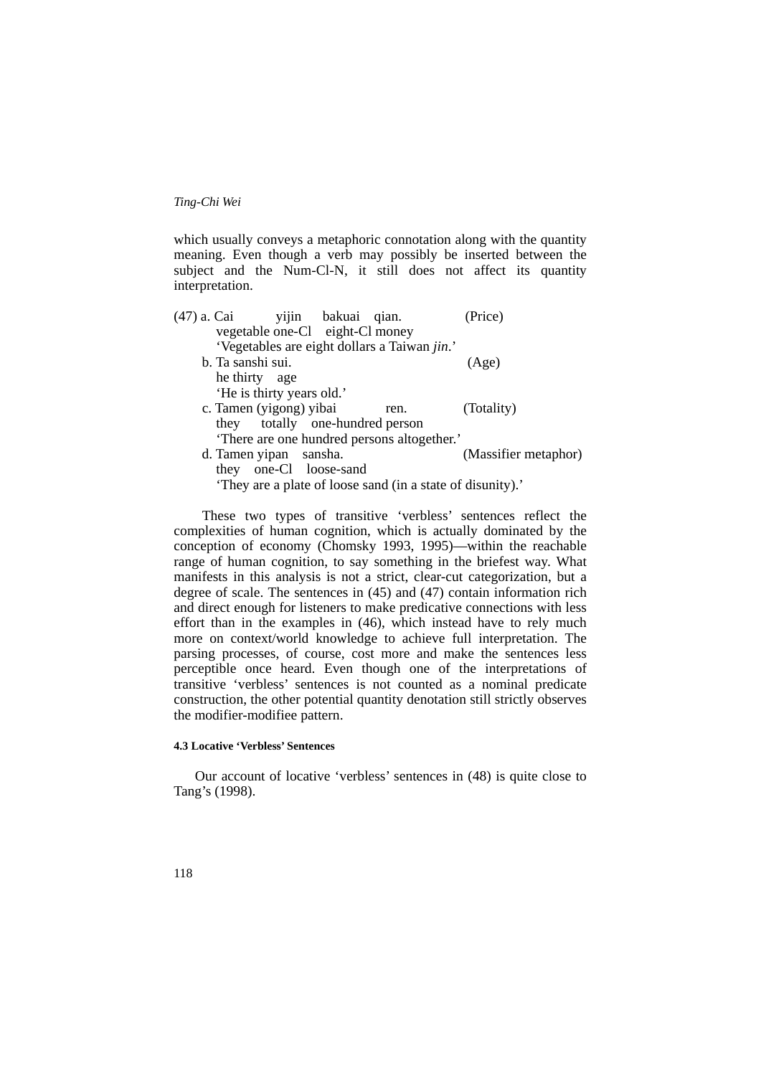which usually conveys a metaphoric connotation along with the quantity meaning. Even though a verb may possibly be inserted between the subject and the Num-Cl-N, it still does not affect its quantity interpretation.

| (47) a. Cai             |                                 | yijin bakuai qian. |                                                          | (Price)              |
|-------------------------|---------------------------------|--------------------|----------------------------------------------------------|----------------------|
|                         | vegetable one-Cl eight-Cl money |                    |                                                          |                      |
|                         |                                 |                    | 'Vegetables are eight dollars a Taiwan jin.'             |                      |
| b. Ta sanshi sui.       |                                 |                    |                                                          | (Age)                |
| he thirty age           |                                 |                    |                                                          |                      |
|                         | 'He is thirty years old.'       |                    |                                                          |                      |
| c. Tamen (yigong) yibai |                                 |                    | ren.                                                     | (Totality)           |
|                         | they totally one-hundred person |                    |                                                          |                      |
|                         |                                 |                    | 'There are one hundred persons altogether.'              |                      |
| d. Tamen yipan sansha.  |                                 |                    |                                                          | (Massifier metaphor) |
|                         | they one-Cl loose-sand          |                    |                                                          |                      |
|                         |                                 |                    | They are a plate of loose sand (in a state of disunity). |                      |

 These two types of transitive 'verbless' sentences reflect the complexities of human cognition, which is actually dominated by the conception of economy (Chomsky 1993, 1995)—within the reachable range of human cognition, to say something in the briefest way. What manifests in this analysis is not a strict, clear-cut categorization, but a degree of scale. The sentences in (45) and (47) contain information rich and direct enough for listeners to make predicative connections with less effort than in the examples in (46), which instead have to rely much more on context/world knowledge to achieve full interpretation. The parsing processes, of course, cost more and make the sentences less perceptible once heard. Even though one of the interpretations of transitive 'verbless' sentences is not counted as a nominal predicate construction, the other potential quantity denotation still strictly observes the modifier-modifiee pattern.

### **4.3 Locative 'Verbless' Sentences**

 Our account of locative 'verbless' sentences in (48) is quite close to Tang's (1998).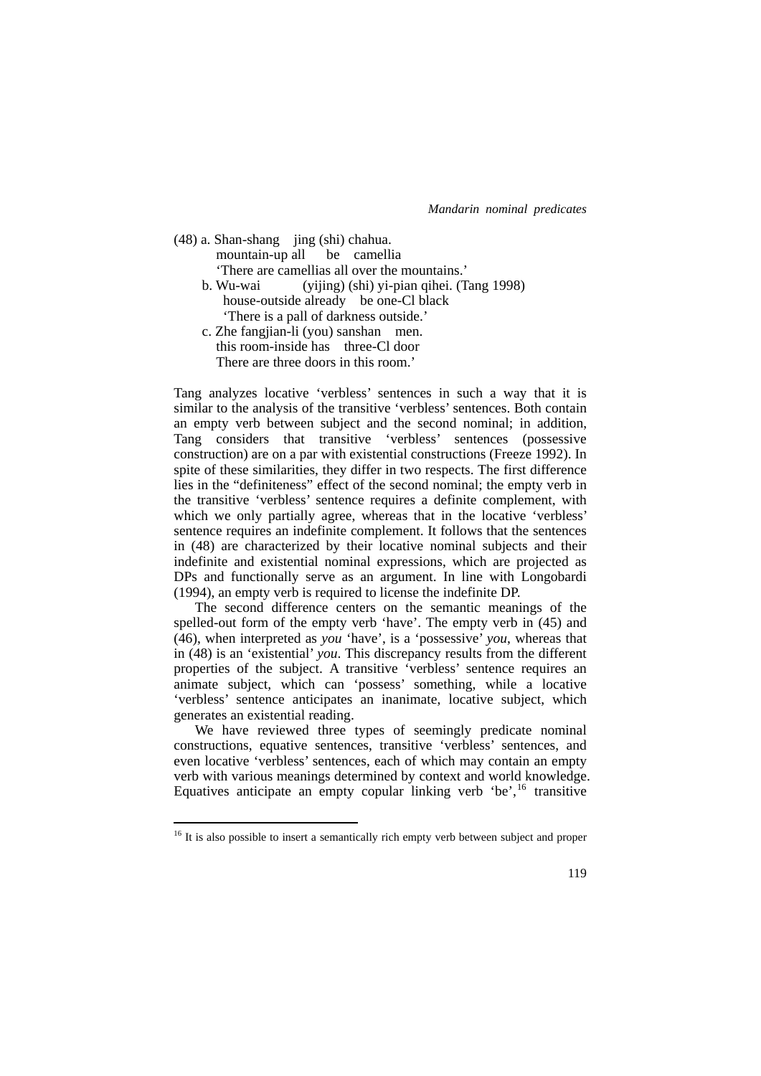(48) a. Shan-shang jing (shi) chahua. mountain-up all be camellia 'There are camellias all over the mountains.' b. Wu-wai (yijing) (shi) yi-pian qihei. (Tang 1998) house-outside already be one-Cl black 'There is a pall of darkness outside.' c. Zhe fangjian-li (you) sanshan men. this room-inside has three-Cl door There are three doors in this room.'

Tang analyzes locative 'verbless' sentences in such a way that it is similar to the analysis of the transitive 'verbless' sentences. Both contain an empty verb between subject and the second nominal; in addition, Tang considers that transitive 'verbless' sentences (possessive construction) are on a par with existential constructions (Freeze 1992). In spite of these similarities, they differ in two respects. The first difference lies in the "definiteness" effect of the second nominal; the empty verb in the transitive 'verbless' sentence requires a definite complement, with which we only partially agree, whereas that in the locative 'verbless' sentence requires an indefinite complement. It follows that the sentences in (48) are characterized by their locative nominal subjects and their indefinite and existential nominal expressions, which are projected as DPs and functionally serve as an argument. In line with Longobardi (1994), an empty verb is required to license the indefinite DP.

 The second difference centers on the semantic meanings of the spelled-out form of the empty verb 'have'. The empty verb in (45) and (46), when interpreted as *you* 'have', is a 'possessive' *you*, whereas that in (48) is an 'existential' *you*. This discrepancy results from the different properties of the subject. A transitive 'verbless' sentence requires an animate subject, which can 'possess' something, while a locative 'verbless' sentence anticipates an inanimate, locative subject, which generates an existential reading.

 We have reviewed three types of seemingly predicate nominal constructions, equative sentences, transitive 'verbless' sentences, and even locative 'verbless' sentences, each of which may contain an empty verb with various meanings determined by context and world knowledge. Equatives anticipate an empty copular linking verb 'be',  $16$  transitive

<u>.</u>

<span id="page-34-0"></span><sup>&</sup>lt;sup>16</sup> It is also possible to insert a semantically rich empty verb between subject and proper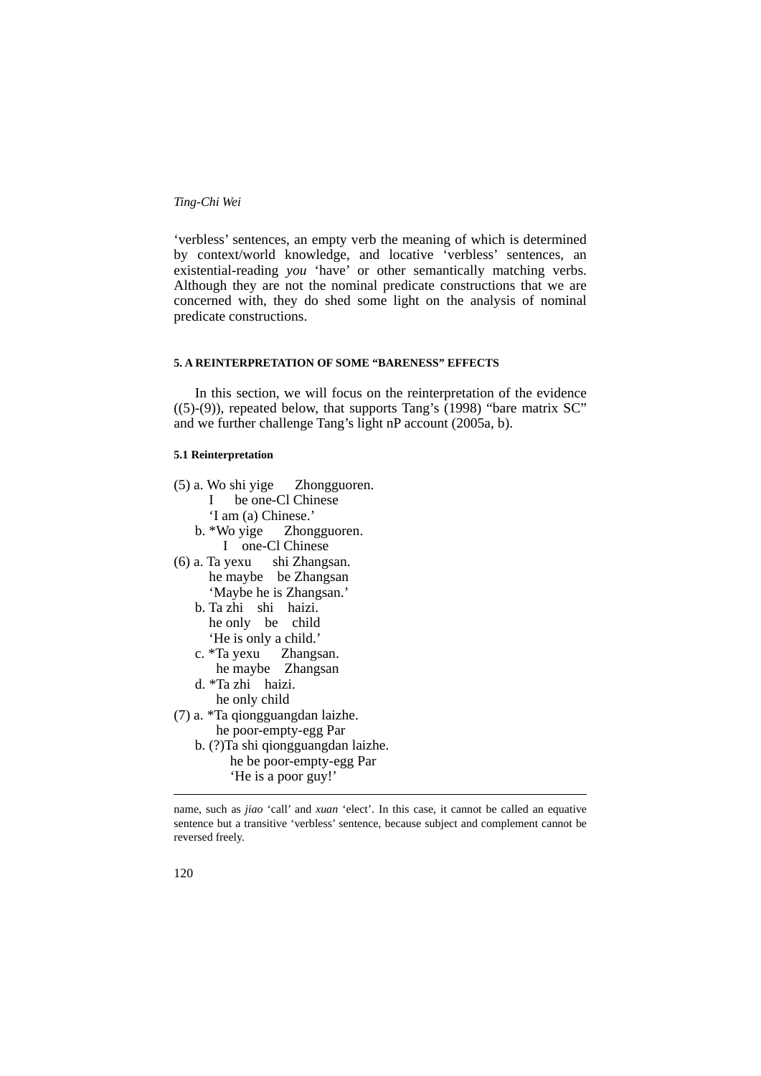'verbless' sentences, an empty verb the meaning of which is determined by context/world knowledge, and locative 'verbless' sentences, an existential-reading *you* 'have' or other semantically matching verbs. Although they are not the nominal predicate constructions that we are concerned with, they do shed some light on the analysis of nominal predicate constructions.

### **5. A REINTERPRETATION OF SOME "BARENESS" EFFECTS**

 In this section, we will focus on the reinterpretation of the evidence  $((5)-(9))$ , repeated below, that supports Tang's  $(1998)$  "bare matrix SC" and we further challenge Tang's light nP account (2005a, b).

# **5.1 Reinterpretation**

- (5) a. Wo shi yige Zhongguoren.
	- I be one-Cl Chinese
	- 'I am (a) Chinese.'
	- b. \*Wo yige Zhongguoren. I one-Cl Chinese
- (6) a. Ta yexu shi Zhangsan. he maybe be Zhangsan 'Maybe he is Zhangsan.'
	- b. Ta zhi shi haizi. he only be child 'He is only a child.'
- c. \*Ta yexu Zhangsan. he maybe Zhangsan
	- d. \*Ta zhi haizi. he only child
- (7) a. \*Ta qiongguangdan laizhe. he poor-empty-egg Par
	- b. (?)Ta shi qiongguangdan laizhe. he be poor-empty-egg Par 'He is a poor guy!'

1

name, such as *jiao* 'call' and *xuan* 'elect'. In this case, it cannot be called an equative sentence but a transitive 'verbless' sentence, because subject and complement cannot be reversed freely.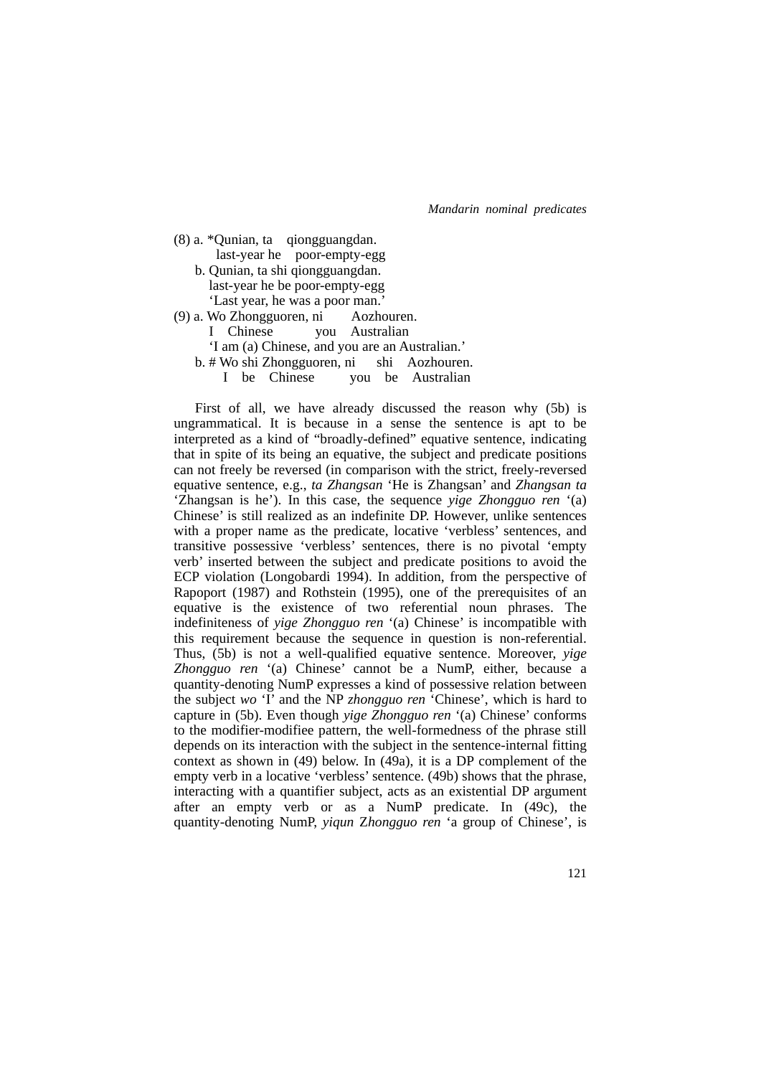| $(8)$ a. *Qunian, ta qiongguangdan.            |
|------------------------------------------------|
| last-year he poor-empty-egg                    |
| b. Qunian, ta shi qiongguangdan.               |
| last-year he be poor-empty-egg                 |
| 'Last year, he was a poor man.'                |
| (9) a. Wo Zhongguoren, ni Aozhouren.           |
| I Chinese you Australian                       |
| 'I am (a) Chinese, and you are an Australian.' |
| b. # Wo shi Zhongguoren, ni shi Aozhouren.     |
| I be Chinese you be Australian                 |

 First of all, we have already discussed the reason why (5b) is ungrammatical. It is because in a sense the sentence is apt to be interpreted as a kind of "broadly-defined" equative sentence, indicating that in spite of its being an equative, the subject and predicate positions can not freely be reversed (in comparison with the strict, freely-reversed equative sentence, e.g., *ta Zhangsan* 'He is Zhangsan' and *Zhangsan ta* 'Zhangsan is he'). In this case, the sequence *yige Zhongguo ren* '(a) Chinese' is still realized as an indefinite DP. However, unlike sentences with a proper name as the predicate, locative 'verbless' sentences, and transitive possessive 'verbless' sentences, there is no pivotal 'empty verb' inserted between the subject and predicate positions to avoid the ECP violation (Longobardi 1994). In addition, from the perspective of Rapoport (1987) and Rothstein (1995), one of the prerequisites of an equative is the existence of two referential noun phrases. The indefiniteness of *yige Zhongguo ren* '(a) Chinese' is incompatible with this requirement because the sequence in question is non-referential. Thus, (5b) is not a well-qualified equative sentence. Moreover, *yige Zhongguo ren* '(a) Chinese' cannot be a NumP, either, because a quantity-denoting NumP expresses a kind of possessive relation between the subject *wo* 'I' and the NP *zhongguo ren* 'Chinese', which is hard to capture in (5b). Even though *yige Zhongguo ren* '(a) Chinese' conforms to the modifier-modifiee pattern, the well-formedness of the phrase still depends on its interaction with the subject in the sentence-internal fitting context as shown in (49) below. In (49a), it is a DP complement of the empty verb in a locative 'verbless' sentence. (49b) shows that the phrase, interacting with a quantifier subject, acts as an existential DP argument after an empty verb or as a NumP predicate. In (49c), the quantity-denoting NumP, *yiqun* Z*hongguo ren* 'a group of Chinese', is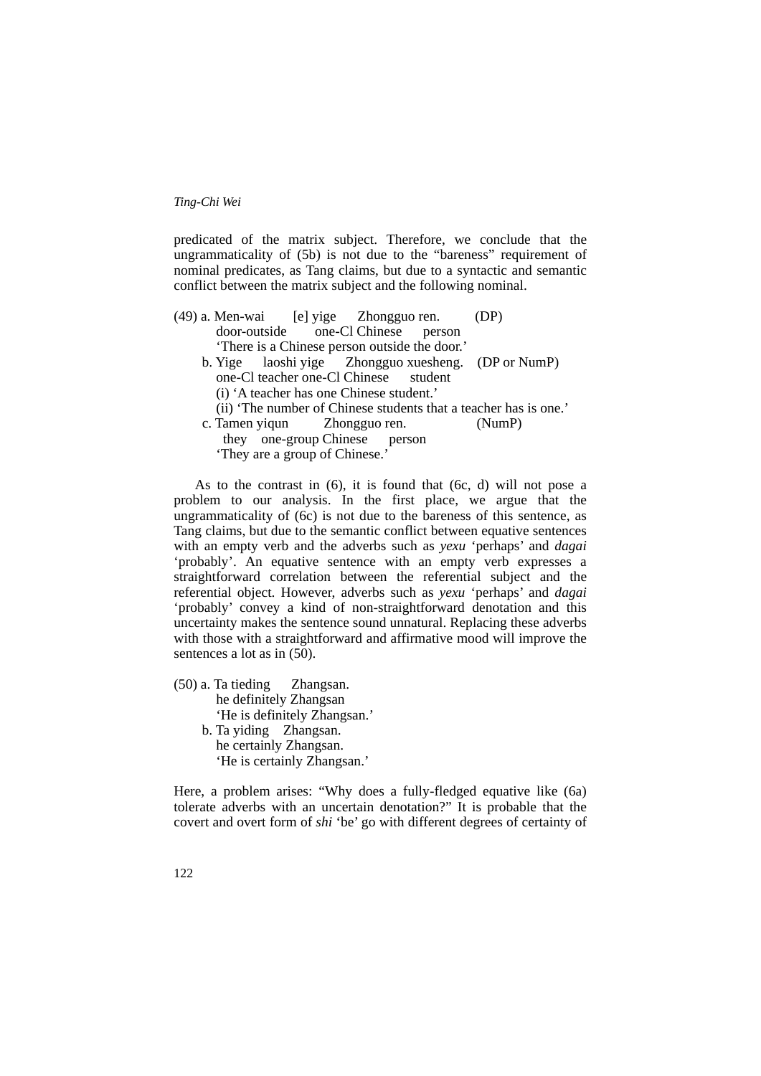predicated of the matrix subject. Therefore, we conclude that the ungrammaticality of (5b) is not due to the "bareness" requirement of nominal predicates, as Tang claims, but due to a syntactic and semantic conflict between the matrix subject and the following nominal.

| (49) a. Men-wai [e] yige Zhongguo ren. (DP)   |                               |                                                                  |
|-----------------------------------------------|-------------------------------|------------------------------------------------------------------|
| door-outside one-Cl Chinese person            |                               |                                                                  |
| 'There is a Chinese person outside the door.' |                               |                                                                  |
|                                               |                               | b. Yige laoshi yige Zhongguo xuesheng. (DP or NumP)              |
| one-Cl teacher one-Cl Chinese student         |                               |                                                                  |
| (i) 'A teacher has one Chinese student.'      |                               |                                                                  |
|                                               |                               | (ii) 'The number of Chinese students that a teacher has is one.' |
| c. Tamen yiqun Zhongguo ren.                  |                               | (NumP)                                                           |
|                                               | they one-group Chinese person |                                                                  |
| 'They are a group of Chinese.'                |                               |                                                                  |

As to the contrast in  $(6)$ , it is found that  $(6c, d)$  will not pose a problem to our analysis. In the first place, we argue that the ungrammaticality of  $(6c)$  is not due to the bareness of this sentence, as Tang claims, but due to the semantic conflict between equative sentences with an empty verb and the adverbs such as *yexu* 'perhaps' and *dagai* 'probably'. An equative sentence with an empty verb expresses a straightforward correlation between the referential subject and the referential object. However, adverbs such as *yexu* 'perhaps' and *dagai* 'probably' convey a kind of non-straightforward denotation and this uncertainty makes the sentence sound unnatural. Replacing these adverbs with those with a straightforward and affirmative mood will improve the sentences a lot as in (50).

(50) a. Ta tieding Zhangsan. he definitely Zhangsan 'He is definitely Zhangsan.' b. Ta yiding Zhangsan. he certainly Zhangsan. 'He is certainly Zhangsan.'

Here, a problem arises: "Why does a fully-fledged equative like (6a) tolerate adverbs with an uncertain denotation?" It is probable that the covert and overt form of *shi* 'be' go with different degrees of certainty of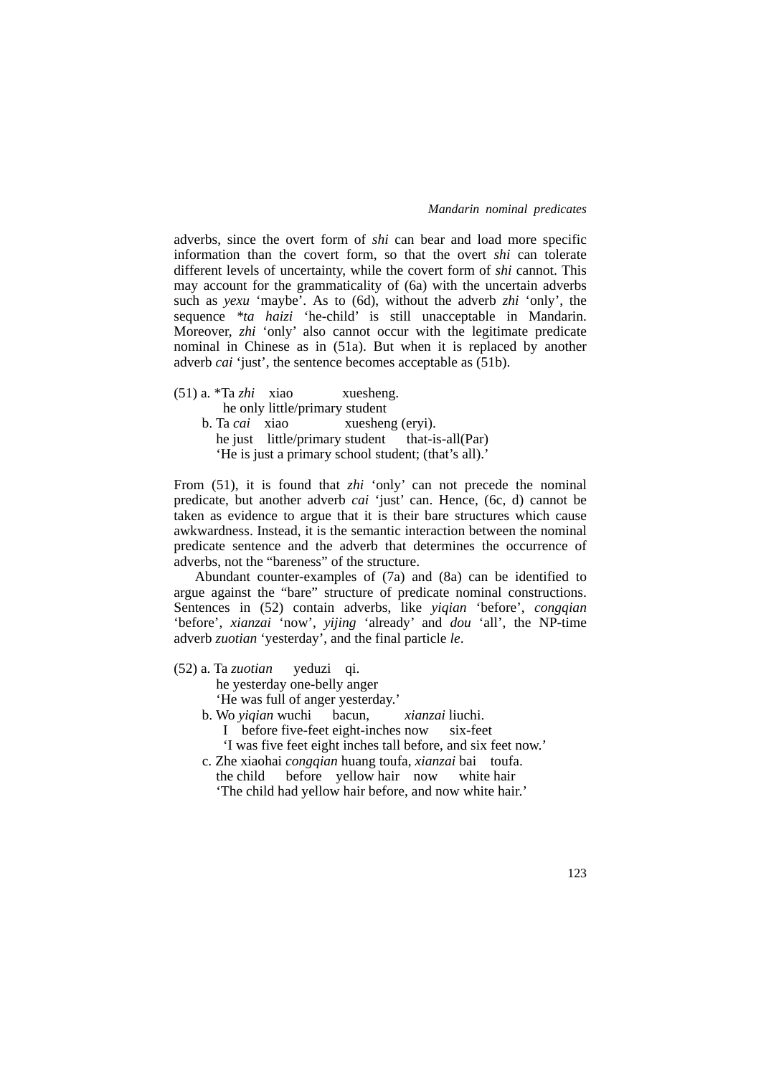adverbs, since the overt form of *shi* can bear and load more specific information than the covert form, so that the overt *shi* can tolerate different levels of uncertainty, while the covert form of *shi* cannot. This may account for the grammaticality of (6a) with the uncertain adverbs such as *yexu* 'maybe'. As to (6d), without the adverb *zhi* 'only', the sequence *\*ta haizi* 'he-child' is still unacceptable in Mandarin. Moreover, *zhi* 'only' also cannot occur with the legitimate predicate nominal in Chinese as in (51a). But when it is replaced by another adverb *cai* 'just', the sentence becomes acceptable as (51b).

- (51) a. \*Ta *zhi* xiao xuesheng. he only little/primary student
	- b. Ta *cai* xiao xuesheng (eryi). he just little/primary student that-is-all(Par) 'He is just a primary school student; (that's all).'

From (51), it is found that *zhi* 'only' can not precede the nominal predicate, but another adverb *cai* 'just' can. Hence, (6c, d) cannot be taken as evidence to argue that it is their bare structures which cause awkwardness. Instead, it is the semantic interaction between the nominal predicate sentence and the adverb that determines the occurrence of adverbs, not the "bareness" of the structure.

 Abundant counter-examples of (7a) and (8a) can be identified to argue against the "bare" structure of predicate nominal constructions. Sentences in (52) contain adverbs, like *yiqian* 'before', *congqian* 'before', *xianzai* 'now', *yijing* 'already' and *dou* 'all', the NP-time adverb *zuotian* 'yesterday', and the final particle *le*.

(52) a. Ta *zuotian* yeduzi qi.

he yesterday one-belly anger

'He was full of anger yesterday.'

- b. Wo *yiqian* wuchi bacun, *xianzai* liuchi.
	- I before five-feet eight-inches now six-feet
	- 'I was five feet eight inches tall before, and six feet now.'
- c. Zhe xiaohai *congqian* huang toufa, *xianzai* bai toufa. the child before yellow hair now white hair
	- 'The child had yellow hair before, and now white hair.'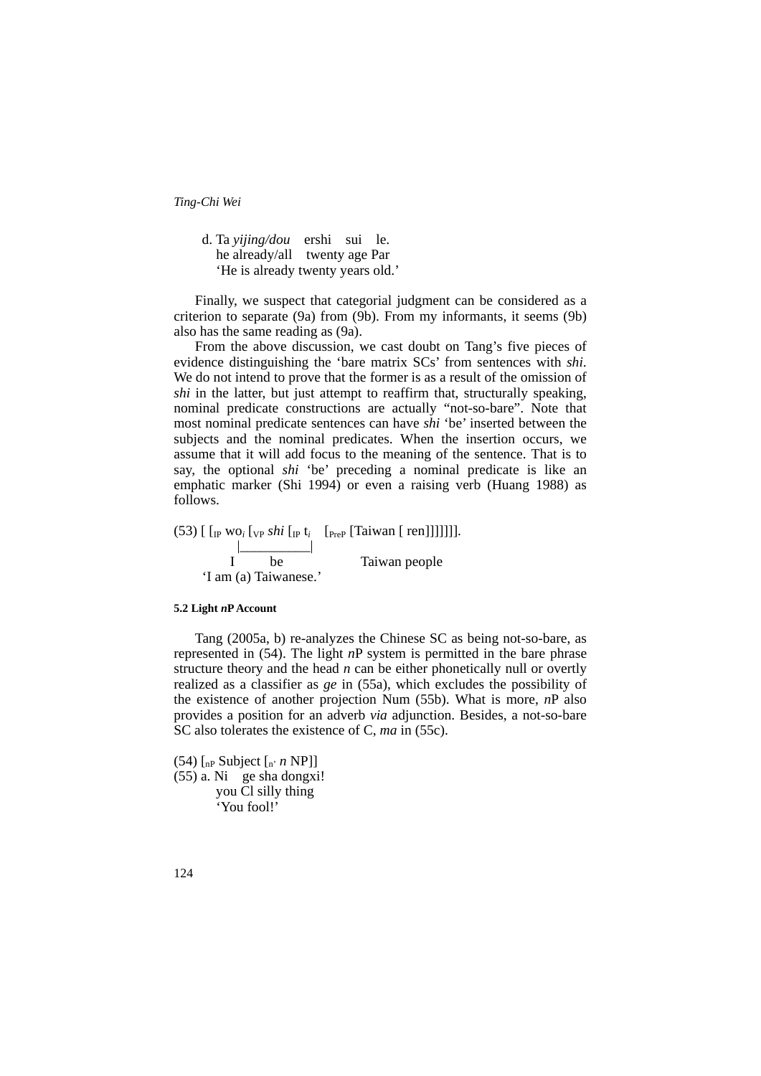d. Ta *yijing/dou* ershi sui le. he already/all twenty age Par 'He is already twenty years old.'

 Finally, we suspect that categorial judgment can be considered as a criterion to separate (9a) from (9b). From my informants, it seems (9b) also has the same reading as (9a).

 From the above discussion, we cast doubt on Tang's five pieces of evidence distinguishing the 'bare matrix SCs' from sentences with *shi*. We do not intend to prove that the former is as a result of the omission of *shi* in the latter, but just attempt to reaffirm that, structurally speaking, nominal predicate constructions are actually "not-so-bare". Note that most nominal predicate sentences can have *shi* 'be' inserted between the subjects and the nominal predicates. When the insertion occurs, we assume that it will add focus to the meaning of the sentence. That is to say, the optional *shi* 'be' preceding a nominal predicate is like an emphatic marker (Shi 1994) or even a raising verb (Huang 1988) as follows.

 $(53)$  [ [<sub>IP</sub> wo<sub>*i*</sub> [<sub>VP</sub> *shi* [<sub>IP</sub> t<sub>*i*</sub> [<sub>PreP</sub> [Taiwan [ ren]]]]]]]. |\_\_\_\_\_\_\_\_\_\_| I be Taiwan people 'I am (a) Taiwanese.'

### **5.2 Light** *n***P Account**

 Tang (2005a, b) re-analyzes the Chinese SC as being not-so-bare, as represented in (54). The light *n*P system is permitted in the bare phrase structure theory and the head *n* can be either phonetically null or overtly realized as a classifier as *ge* in (55a), which excludes the possibility of the existence of another projection Num (55b). What is more, *n*P also provides a position for an adverb *via* adjunction. Besides, a not-so-bare SC also tolerates the existence of C, *ma* in (55c).

(54)  $\left[$ <sub>nP</sub> Subject  $\left[$ <sub>n'</sub> *n* NP]] (55) a. Ni ge sha dongxi! you Cl silly thing 'You fool!'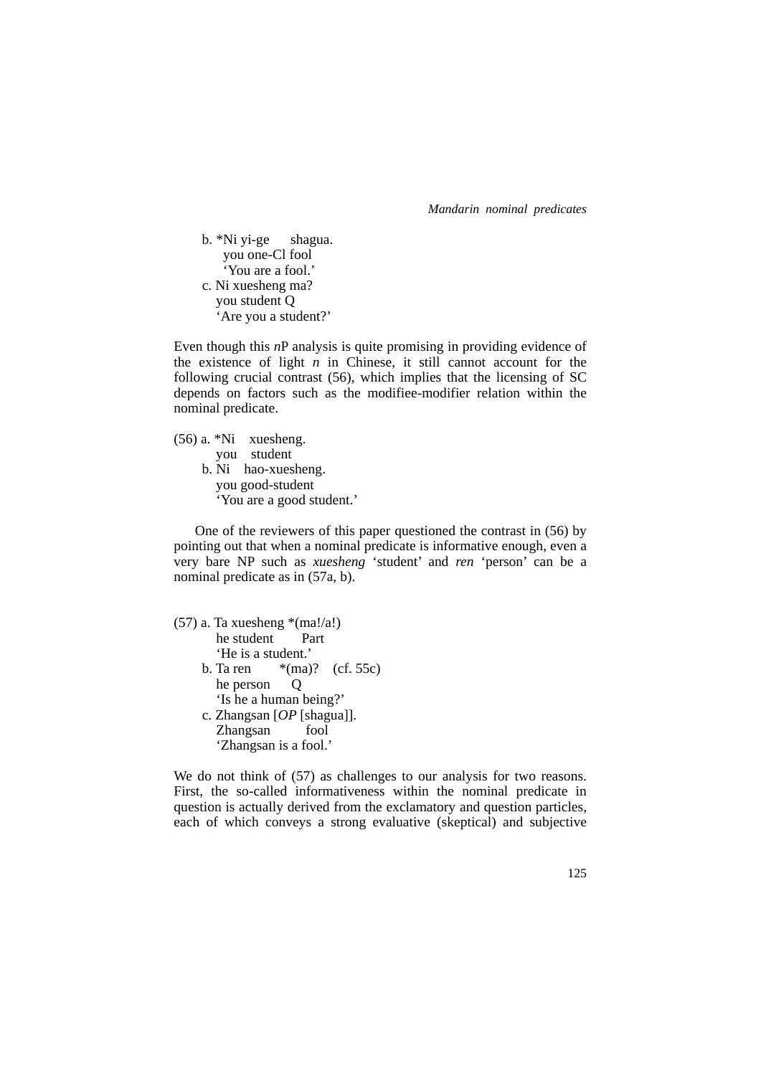b. \*Ni yi-ge shagua. you one-Cl fool 'You are a fool.' c. Ni xuesheng ma? you student Q 'Are you a student?'

Even though this *n*P analysis is quite promising in providing evidence of the existence of light *n* in Chinese, it still cannot account for the following crucial contrast (56), which implies that the licensing of SC depends on factors such as the modifiee-modifier relation within the nominal predicate.

(56) a. \*Ni xuesheng. you student b. Ni hao-xuesheng. you good-student 'You are a good student.'

 One of the reviewers of this paper questioned the contrast in (56) by pointing out that when a nominal predicate is informative enough, even a very bare NP such as *xuesheng* 'student' and *ren* 'person' can be a nominal predicate as in (57a, b).

| $(57)$ a. Ta xuesheng *(ma!/a!) |
|---------------------------------|
| he student Part                 |
| 'He is a student.'              |
| b. Ta ren $*(ma)$ ? (cf. 55c)   |
| he person                       |
| 'Is he a human being?'          |
| c. Zhangsan $[OP$ [shagua]].    |
| Zhangsan fool                   |
| 'Zhangsan is a fool.'           |
|                                 |

We do not think of  $(57)$  as challenges to our analysis for two reasons. First, the so-called informativeness within the nominal predicate in question is actually derived from the exclamatory and question particles, each of which conveys a strong evaluative (skeptical) and subjective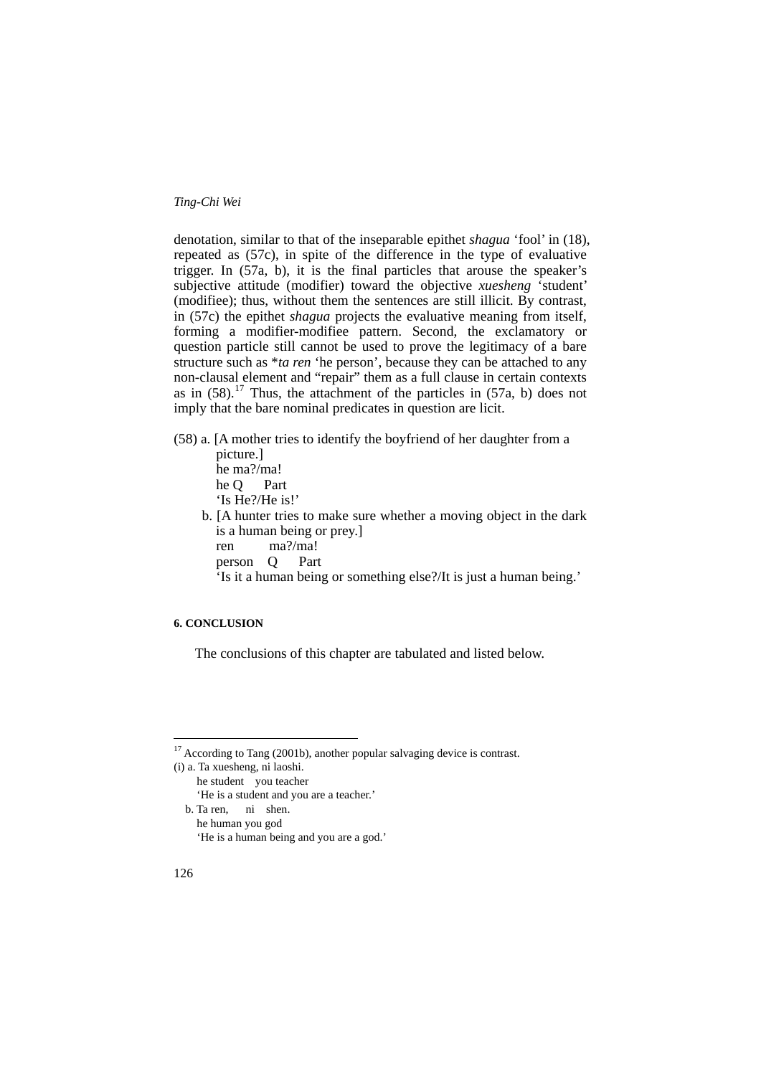denotation, similar to that of the inseparable epithet *shagua* 'fool' in (18), repeated as (57c), in spite of the difference in the type of evaluative trigger. In (57a, b), it is the final particles that arouse the speaker's subjective attitude (modifier) toward the objective *xuesheng* 'student' (modifiee); thus, without them the sentences are still illicit. By contrast, in (57c) the epithet *shagua* projects the evaluative meaning from itself, forming a modifier-modifiee pattern. Second, the exclamatory or question particle still cannot be used to prove the legitimacy of a bare structure such as \**ta ren* 'he person', because they can be attached to any non-clausal element and "repair" them as a full clause in certain contexts as in  $(58)$ .<sup>[17](#page-41-0)</sup> Thus, the attachment of the particles in  $(57a, b)$  does not imply that the bare nominal predicates in question are licit.

(58) a. [A mother tries to identify the boyfriend of her daughter from a

 picture.] he ma?/ma! he Q Part 'Is He?/He is!'

- b. [A hunter tries to make sure whether a moving object in the dark is a human being or prey.] ren ma?/ma!
	- person Q Part

'Is it a human being or something else?/It is just a human being.'

# **6. CONCLUSION**

The conclusions of this chapter are tabulated and listed below.

(i) a. Ta xuesheng, ni laoshi.

- he student you teacher 'He is a student and you are a teacher.'
- b. Ta ren, ni shen. he human you god

<u>.</u>

<span id="page-41-0"></span> $17$  According to Tang (2001b), another popular salvaging device is contrast.

 <sup>&#</sup>x27;He is a human being and you are a god.'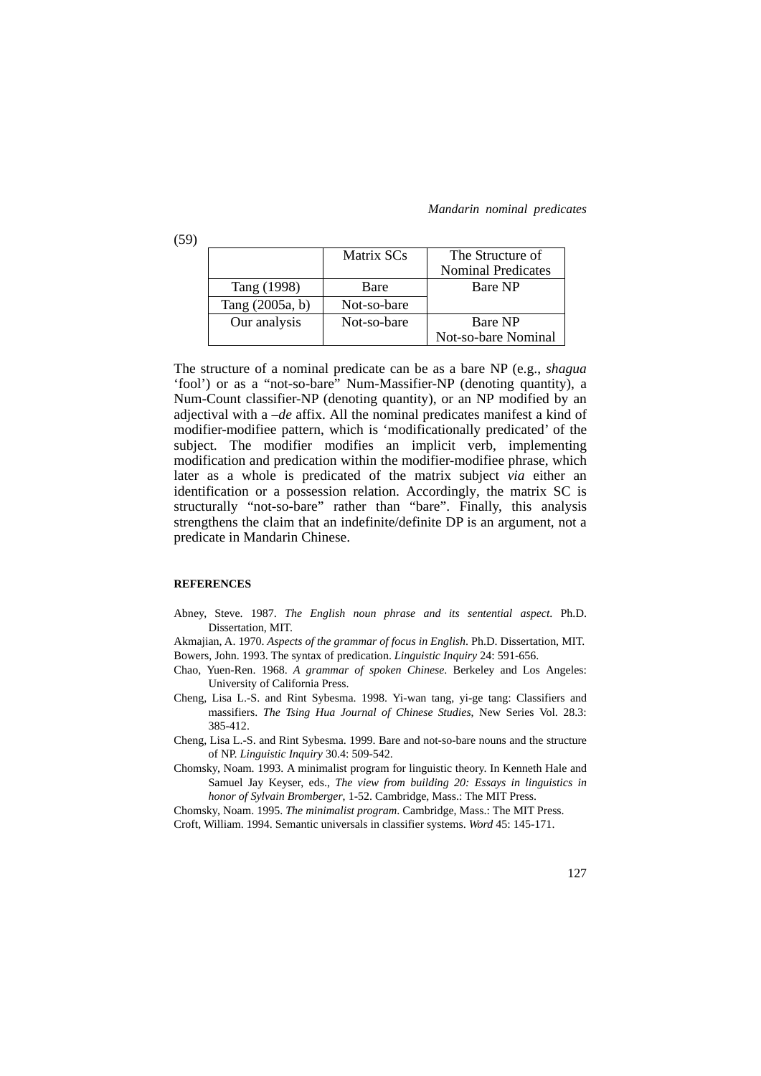|                 | Matrix SCs  | The Structure of          |
|-----------------|-------------|---------------------------|
|                 |             | <b>Nominal Predicates</b> |
| Tang (1998)     | Bare        | <b>Bare NP</b>            |
| Tang (2005a, b) | Not-so-bare |                           |
| Our analysis    | Not-so-bare | Bare NP                   |
|                 |             | Not-so-bare Nominal       |

The structure of a nominal predicate can be as a bare NP (e.g., *shagua* 'fool') or as a "not-so-bare" Num-Massifier-NP (denoting quantity), a Num-Count classifier-NP (denoting quantity), or an NP modified by an adjectival with a *–de* affix. All the nominal predicates manifest a kind of modifier-modifiee pattern, which is 'modificationally predicated' of the subject. The modifier modifies an implicit verb, implementing modification and predication within the modifier-modifiee phrase, which later as a whole is predicated of the matrix subject *via* either an identification or a possession relation. Accordingly, the matrix SC is structurally "not-so-bare" rather than "bare". Finally, this analysis strengthens the claim that an indefinite/definite DP is an argument, not a predicate in Mandarin Chinese.

### **REFERENCES**

(59)

- Abney, Steve. 1987. *The English noun phrase and its sentential aspect*. Ph.D. Dissertation, MIT.
- Akmajian, A. 1970. *Aspects of the grammar of focus in English*. Ph.D. Dissertation, MIT. Bowers, John. 1993. The syntax of predication. *Linguistic Inquiry* 24: 591-656.
- Chao, Yuen-Ren. 1968. *A grammar of spoken Chinese*. Berkeley and Los Angeles: University of California Press.
- Cheng, Lisa L.-S. and Rint Sybesma. 1998. Yi-wan tang, yi-ge tang: Classifiers and massifiers. *The Tsing Hua Journal of Chinese Studies*, New Series Vol. 28.3: 385-412.
- Cheng, Lisa L.-S. and Rint Sybesma. 1999. Bare and not-so-bare nouns and the structure of NP. *Linguistic Inquiry* 30.4: 509-542.
- Chomsky, Noam. 1993. A minimalist program for linguistic theory. In Kenneth Hale and Samuel Jay Keyser, eds., *The view from building 20: Essays in linguistics in honor of Sylvain Bromberger*, 1-52. Cambridge, Mass.: The MIT Press.

Chomsky, Noam. 1995. *The minimalist program*. Cambridge, Mass.: The MIT Press.

Croft, William. 1994. Semantic universals in classifier systems. *Word* 45: 145-171.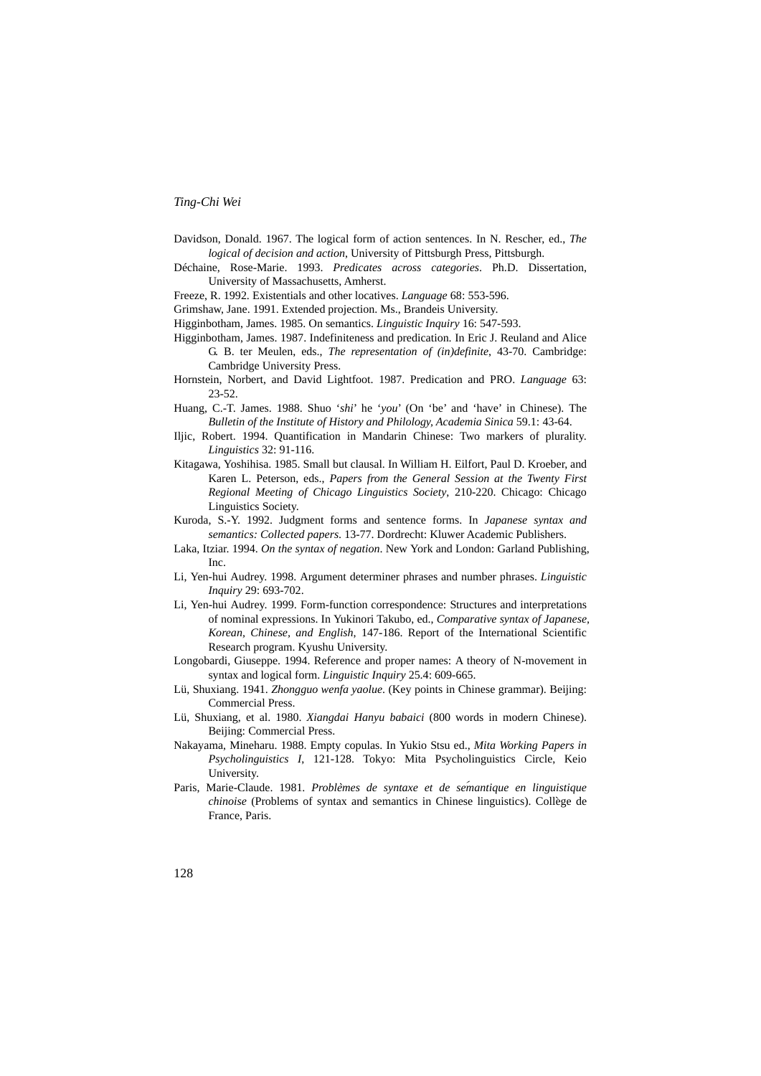- Davidson, Donald. 1967. The logical form of action sentences. In N. Rescher, ed., *The logical of decision and action*, University of Pittsburgh Press, Pittsburgh.
- Déchaine, Rose-Marie. 1993. *Predicates across categories*. Ph.D. Dissertation, University of Massachusetts, Amherst.
- Freeze, R. 1992. Existentials and other locatives. *Language* 68: 553-596.
- Grimshaw, Jane. 1991. Extended projection. Ms., Brandeis University.
- Higginbotham, James. 1985. On semantics. *Linguistic Inquiry* 16: 547-593.
- Higginbotham, James. 1987. Indefiniteness and predication. In Eric J. Reuland and Alice G. B. ter Meulen, eds., *The representation of (in)definite*, 43-70. Cambridge: Cambridge University Press.
- Hornstein, Norbert, and David Lightfoot. 1987. Predication and PRO. *Language* 63: 23-52.
- Huang, C.-T. James. 1988. Shuo '*shi*' he '*you*' (On 'be' and 'have' in Chinese). The *Bulletin of the Institute of History and Philology, Academia Sinica* 59.1: 43-64.
- Iljic, Robert. 1994. Quantification in Mandarin Chinese: Two markers of plurality. *Linguistics* 32: 91-116.
- Kitagawa, Yoshihisa. 1985. Small but clausal. In William H. Eilfort, Paul D. Kroeber, and Karen L. Peterson, eds., *Papers from the General Session at the Twenty First Regional Meeting of Chicago Linguistics Society*, 210-220. Chicago: Chicago Linguistics Society.
- Kuroda, S.-Y. 1992. Judgment forms and sentence forms. In *Japanese syntax and semantics: Collected papers*. 13-77. Dordrecht: Kluwer Academic Publishers.
- Laka, Itziar. 1994. *On the syntax of negation*. New York and London: Garland Publishing, Inc.
- Li, Yen-hui Audrey. 1998. Argument determiner phrases and number phrases. *Linguistic Inquiry* 29: 693-702.
- Li, Yen-hui Audrey. 1999. Form-function correspondence: Structures and interpretations of nominal expressions. In Yukinori Takubo, ed., *Comparative syntax of Japanese, Korean, Chinese, and English*, 147-186. Report of the International Scientific Research program. Kyushu University.
- Longobardi, Giuseppe. 1994. Reference and proper names: A theory of N-movement in syntax and logical form. *Linguistic Inquiry* 25.4: 609-665.
- Lü, Shuxiang. 1941. *Zhongguo wenfa yaolue*. (Key points in Chinese grammar). Beijing: Commercial Press.
- Lü, Shuxiang, et al. 1980. *Xiangdai Hanyu babaici* (800 words in modern Chinese). Beijing: Commercial Press.
- Nakayama, Mineharu. 1988. Empty copulas. In Yukio Stsu ed., *Mita Working Papers in Psycholinguistics I*, 121-128. Tokyo: Mita Psycholinguistics Circle, Keio University.
- Paris, Marie-Claude. 1981. *Problèmes de syntaxe et de sémantique en linguistique chinoise* (Problems of syntax and semantics in Chinese linguistics). Collège de France, Paris.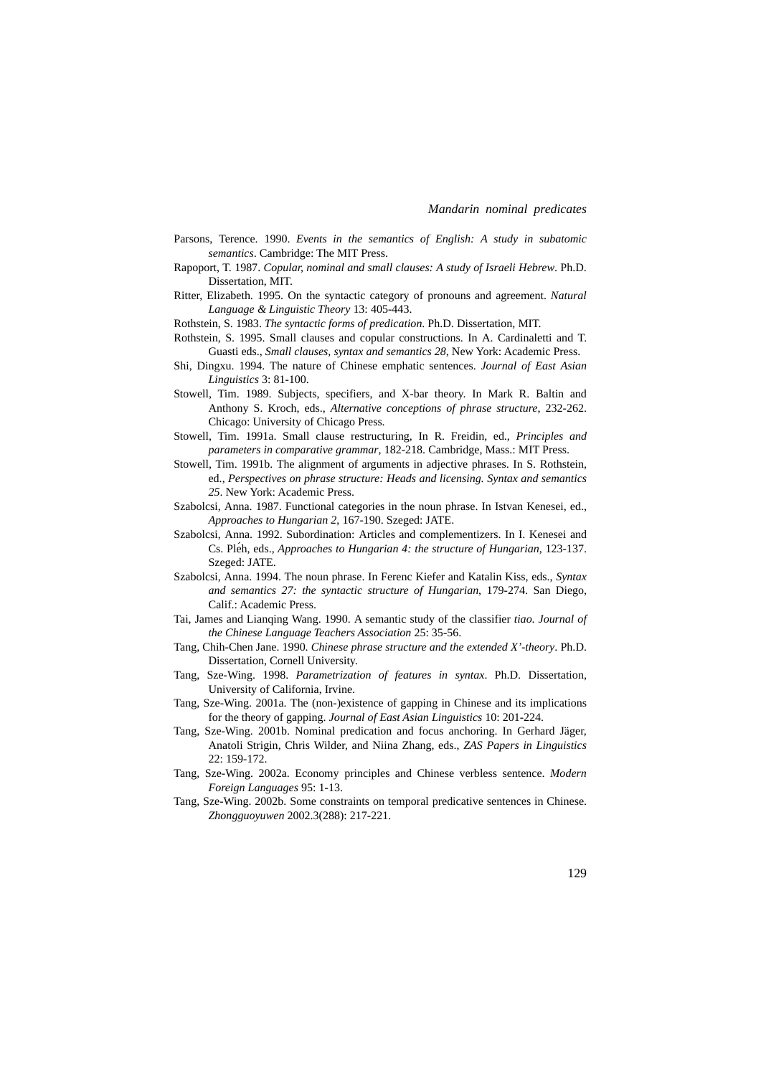- Parsons, Terence. 1990. *Events in the semantics of English: A study in subatomic semantics*. Cambridge: The MIT Press.
- Rapoport, T. 1987. *Copular, nominal and small clauses: A study of Israeli Hebrew*. Ph.D. Dissertation, MIT.
- Ritter, Elizabeth. 1995. On the syntactic category of pronouns and agreement. *Natural Language & Linguistic Theory* 13: 405-443.
- Rothstein, S. 1983. *The syntactic forms of predication*. Ph.D. Dissertation, MIT.
- Rothstein, S. 1995. Small clauses and copular constructions. In A. Cardinaletti and T. Guasti eds., *Small clauses, syntax and semantics 28*, New York: Academic Press.
- Shi, Dingxu. 1994. The nature of Chinese emphatic sentences. *Journal of East Asian Linguistics* 3: 81-100.
- Stowell, Tim. 1989. Subjects, specifiers, and X-bar theory. In Mark R. Baltin and Anthony S. Kroch, eds., *Alternative conceptions of phrase structure*, 232-262. Chicago: University of Chicago Press.
- Stowell, Tim. 1991a. Small clause restructuring, In R. Freidin, ed., *Principles and parameters in comparative grammar*, 182-218. Cambridge, Mass.: MIT Press.
- Stowell, Tim. 1991b. The alignment of arguments in adjective phrases. In S. Rothstein, ed., *Perspectives on phrase structure: Heads and licensing. Syntax and semantics 25*. New York: Academic Press.
- Szabolcsi, Anna. 1987. Functional categories in the noun phrase. In Istvan Kenesei, ed., *Approaches to Hungarian 2*, 167-190. Szeged: JATE.
- Szabolcsi, Anna. 1992. Subordination: Articles and complementizers. In I. Kenesei and Cs. Pleèh, eds., *Approaches to Hungarian 4: the structure of Hungarian*, 123-137. Szeged: JATE.
- Szabolcsi, Anna. 1994. The noun phrase. In Ferenc Kiefer and Katalin Kiss, eds., *Syntax and semantics 27: the syntactic structure of Hungarian*, 179-274. San Diego, Calif.: Academic Press.
- Tai, James and Lianqing Wang. 1990. A semantic study of the classifier *tiao*. *Journal of the Chinese Language Teachers Association* 25: 35-56.
- Tang, Chih-Chen Jane. 1990. *Chinese phrase structure and the extended X'-theory*. Ph.D. Dissertation, Cornell University.
- Tang, Sze-Wing. 1998. *Parametrization of features in syntax*. Ph.D. Dissertation, University of California, Irvine.
- Tang, Sze-Wing. 2001a. The (non-)existence of gapping in Chinese and its implications for the theory of gapping. *Journal of East Asian Linguistics* 10: 201-224.
- Tang, Sze-Wing. 2001b. Nominal predication and focus anchoring. In Gerhard Jäger, Anatoli Strigin, Chris Wilder, and Niina Zhang, eds., *ZAS Papers in Linguistics* 22: 159-172.
- Tang, Sze-Wing. 2002a. Economy principles and Chinese verbless sentence. *Modern Foreign Languages* 95: 1-13.
- Tang, Sze-Wing. 2002b. Some constraints on temporal predicative sentences in Chinese. *Zhongguoyuwen* 2002.3(288): 217-221.